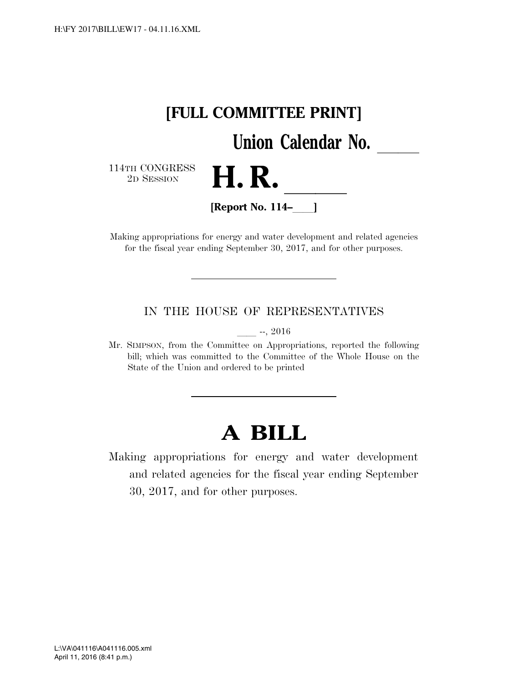

Making appropriations for energy and water development and related agencies for the fiscal year ending September 30, 2017, and for other purposes.

IN THE HOUSE OF REPRESENTATIVES

 $-$ , 2016

Mr. SIMPSON, from the Committee on Appropriations, reported the following bill; which was committed to the Committee of the Whole House on the State of the Union and ordered to be printed

# **A BILL**

Making appropriations for energy and water development and related agencies for the fiscal year ending September 30, 2017, and for other purposes.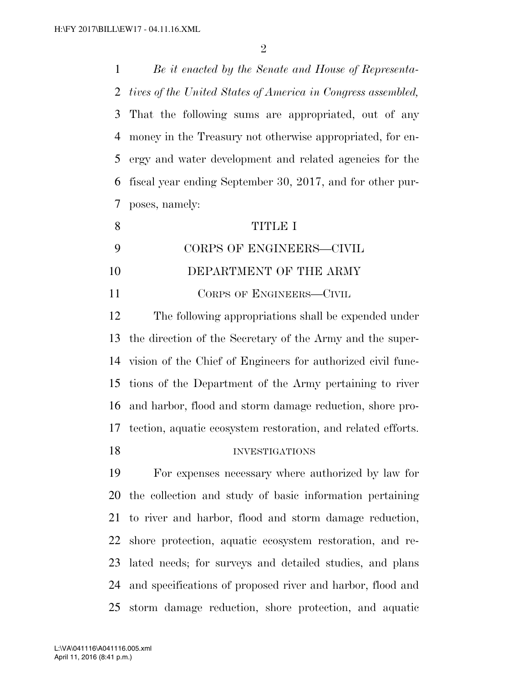*Be it enacted by the Senate and House of Representa- tives of the United States of America in Congress assembled,*  That the following sums are appropriated, out of any money in the Treasury not otherwise appropriated, for en- ergy and water development and related agencies for the fiscal year ending September 30, 2017, and for other pur-poses, namely:

|    | TITLE I                  |
|----|--------------------------|
|    | CORPS OF ENGINEERS-CIVIL |
| 10 | DEPARTMENT OF THE ARMY   |
| 11 | CORPS OF ENGINEERS—CIVIL |

 The following appropriations shall be expended under the direction of the Secretary of the Army and the super- vision of the Chief of Engineers for authorized civil func- tions of the Department of the Army pertaining to river and harbor, flood and storm damage reduction, shore pro-tection, aquatic ecosystem restoration, and related efforts.

## 18 INVESTIGATIONS

 For expenses necessary where authorized by law for the collection and study of basic information pertaining to river and harbor, flood and storm damage reduction, shore protection, aquatic ecosystem restoration, and re- lated needs; for surveys and detailed studies, and plans and specifications of proposed river and harbor, flood and storm damage reduction, shore protection, and aquatic

April 11, 2016 (8:41 p.m.) L:\VA\041116\A041116.005.xml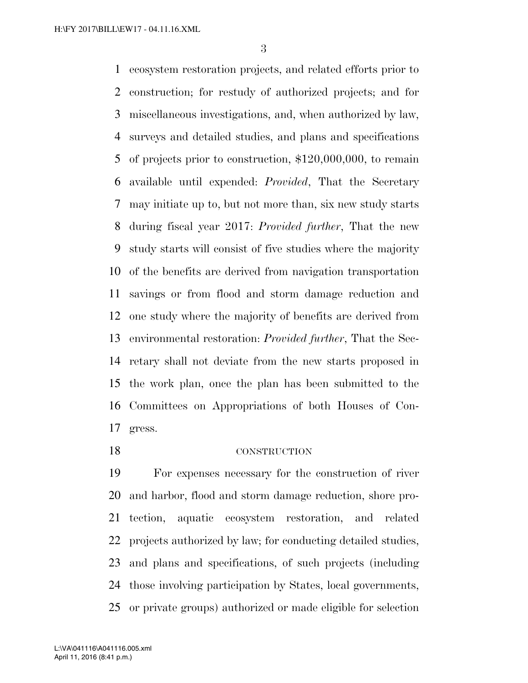ecosystem restoration projects, and related efforts prior to construction; for restudy of authorized projects; and for miscellaneous investigations, and, when authorized by law, surveys and detailed studies, and plans and specifications of projects prior to construction, \$120,000,000, to remain available until expended: *Provided*, That the Secretary may initiate up to, but not more than, six new study starts during fiscal year 2017: *Provided further*, That the new study starts will consist of five studies where the majority of the benefits are derived from navigation transportation savings or from flood and storm damage reduction and one study where the majority of benefits are derived from environmental restoration: *Provided further*, That the Sec- retary shall not deviate from the new starts proposed in the work plan, once the plan has been submitted to the Committees on Appropriations of both Houses of Con-gress.

#### CONSTRUCTION

 For expenses necessary for the construction of river and harbor, flood and storm damage reduction, shore pro- tection, aquatic ecosystem restoration, and related projects authorized by law; for conducting detailed studies, and plans and specifications, of such projects (including those involving participation by States, local governments, or private groups) authorized or made eligible for selection

April 11, 2016 (8:41 p.m.) L:\VA\041116\A041116.005.xml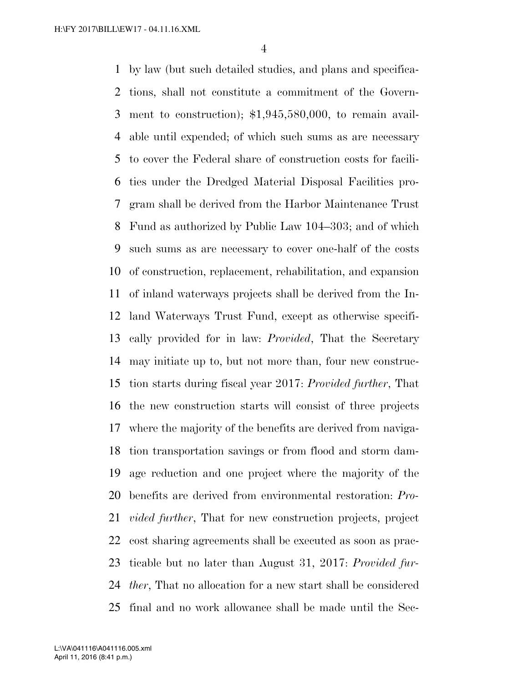by law (but such detailed studies, and plans and specifica- tions, shall not constitute a commitment of the Govern- ment to construction); \$1,945,580,000, to remain avail- able until expended; of which such sums as are necessary to cover the Federal share of construction costs for facili- ties under the Dredged Material Disposal Facilities pro- gram shall be derived from the Harbor Maintenance Trust Fund as authorized by Public Law 104–303; and of which such sums as are necessary to cover one-half of the costs of construction, replacement, rehabilitation, and expansion of inland waterways projects shall be derived from the In- land Waterways Trust Fund, except as otherwise specifi- cally provided for in law: *Provided*, That the Secretary may initiate up to, but not more than, four new construc- tion starts during fiscal year 2017: *Provided further*, That the new construction starts will consist of three projects where the majority of the benefits are derived from naviga- tion transportation savings or from flood and storm dam- age reduction and one project where the majority of the benefits are derived from environmental restoration: *Pro- vided further*, That for new construction projects, project cost sharing agreements shall be executed as soon as prac- ticable but no later than August 31, 2017: *Provided fur- ther*, That no allocation for a new start shall be considered final and no work allowance shall be made until the Sec-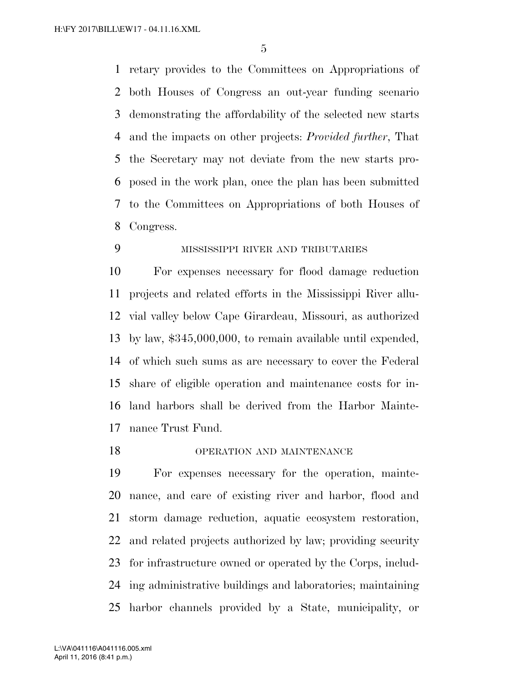retary provides to the Committees on Appropriations of both Houses of Congress an out-year funding scenario demonstrating the affordability of the selected new starts and the impacts on other projects: *Provided further*, That the Secretary may not deviate from the new starts pro- posed in the work plan, once the plan has been submitted to the Committees on Appropriations of both Houses of Congress.

## MISSISSIPPI RIVER AND TRIBUTARIES

 For expenses necessary for flood damage reduction projects and related efforts in the Mississippi River allu- vial valley below Cape Girardeau, Missouri, as authorized by law, \$345,000,000, to remain available until expended, of which such sums as are necessary to cover the Federal share of eligible operation and maintenance costs for in- land harbors shall be derived from the Harbor Mainte-nance Trust Fund.

#### 18 OPERATION AND MAINTENANCE

 For expenses necessary for the operation, mainte- nance, and care of existing river and harbor, flood and storm damage reduction, aquatic ecosystem restoration, and related projects authorized by law; providing security for infrastructure owned or operated by the Corps, includ- ing administrative buildings and laboratories; maintaining harbor channels provided by a State, municipality, or

April 11, 2016 (8:41 p.m.) L:\VA\041116\A041116.005.xml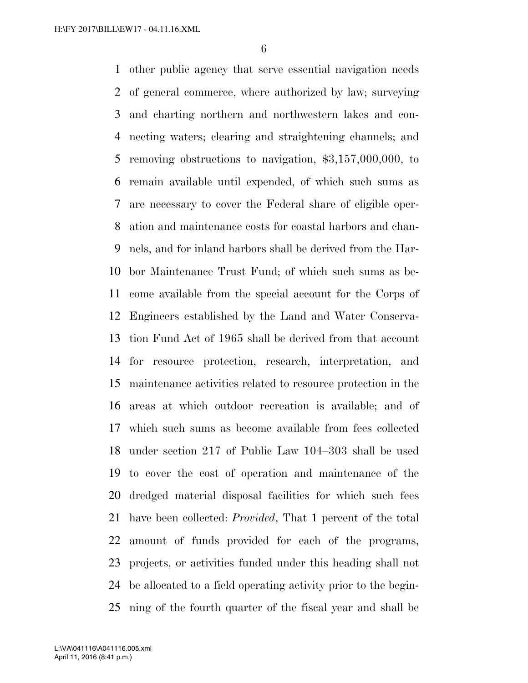other public agency that serve essential navigation needs of general commerce, where authorized by law; surveying and charting northern and northwestern lakes and con- necting waters; clearing and straightening channels; and removing obstructions to navigation, \$3,157,000,000, to remain available until expended, of which such sums as are necessary to cover the Federal share of eligible oper- ation and maintenance costs for coastal harbors and chan- nels, and for inland harbors shall be derived from the Har- bor Maintenance Trust Fund; of which such sums as be- come available from the special account for the Corps of Engineers established by the Land and Water Conserva- tion Fund Act of 1965 shall be derived from that account for resource protection, research, interpretation, and maintenance activities related to resource protection in the areas at which outdoor recreation is available; and of which such sums as become available from fees collected under section 217 of Public Law 104–303 shall be used to cover the cost of operation and maintenance of the dredged material disposal facilities for which such fees have been collected: *Provided*, That 1 percent of the total amount of funds provided for each of the programs, projects, or activities funded under this heading shall not be allocated to a field operating activity prior to the begin-ning of the fourth quarter of the fiscal year and shall be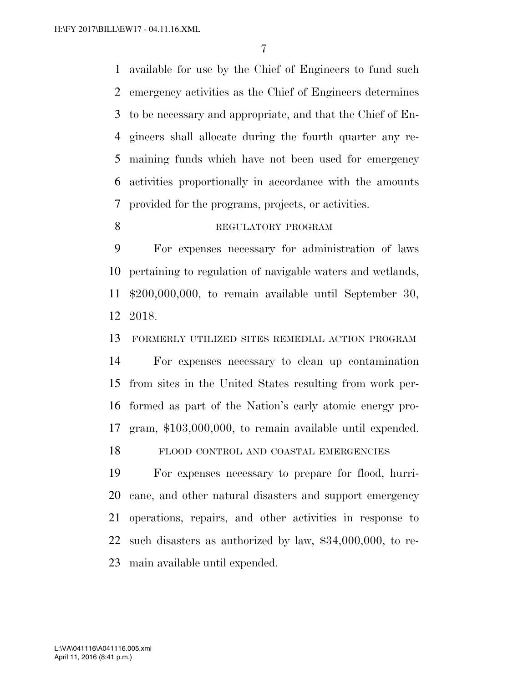available for use by the Chief of Engineers to fund such emergency activities as the Chief of Engineers determines to be necessary and appropriate, and that the Chief of En- gineers shall allocate during the fourth quarter any re- maining funds which have not been used for emergency activities proportionally in accordance with the amounts provided for the programs, projects, or activities.

## 8 REGULATORY PROGRAM

 For expenses necessary for administration of laws pertaining to regulation of navigable waters and wetlands, \$200,000,000, to remain available until September 30, 2018.

FORMERLY UTILIZED SITES REMEDIAL ACTION PROGRAM

 For expenses necessary to clean up contamination from sites in the United States resulting from work per- formed as part of the Nation's early atomic energy pro-gram, \$103,000,000, to remain available until expended.

FLOOD CONTROL AND COASTAL EMERGENCIES

 For expenses necessary to prepare for flood, hurri- cane, and other natural disasters and support emergency operations, repairs, and other activities in response to such disasters as authorized by law, \$34,000,000, to re-main available until expended.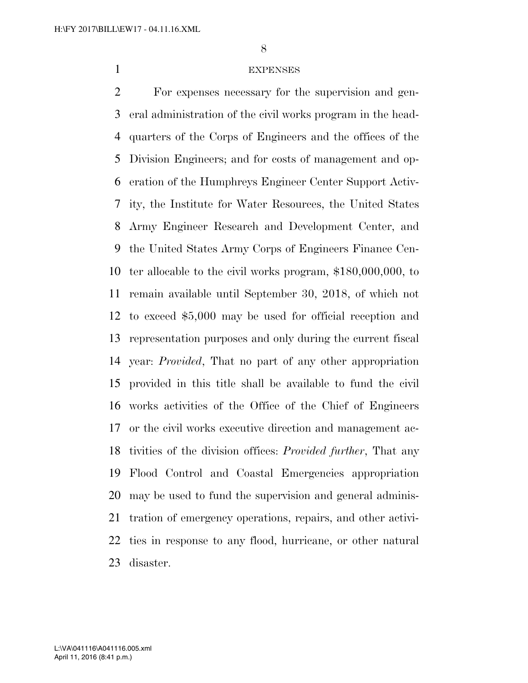#### EXPENSES

 For expenses necessary for the supervision and gen- eral administration of the civil works program in the head- quarters of the Corps of Engineers and the offices of the Division Engineers; and for costs of management and op- eration of the Humphreys Engineer Center Support Activ- ity, the Institute for Water Resources, the United States Army Engineer Research and Development Center, and the United States Army Corps of Engineers Finance Cen- ter allocable to the civil works program, \$180,000,000, to remain available until September 30, 2018, of which not to exceed \$5,000 may be used for official reception and representation purposes and only during the current fiscal year: *Provided*, That no part of any other appropriation provided in this title shall be available to fund the civil works activities of the Office of the Chief of Engineers or the civil works executive direction and management ac- tivities of the division offices: *Provided further*, That any Flood Control and Coastal Emergencies appropriation may be used to fund the supervision and general adminis- tration of emergency operations, repairs, and other activi- ties in response to any flood, hurricane, or other natural disaster.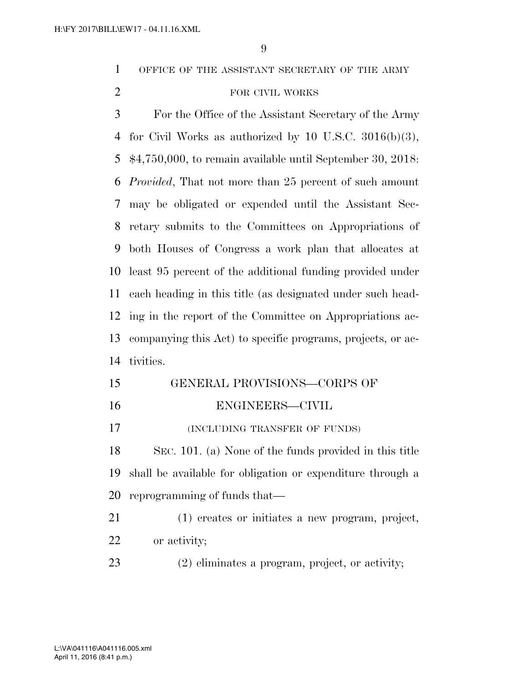OFFICE OF THE ASSISTANT SECRETARY OF THE ARMY

2 FOR CIVIL WORKS

 For the Office of the Assistant Secretary of the Army for Civil Works as authorized by 10 U.S.C. 3016(b)(3), \$4,750,000, to remain available until September 30, 2018: *Provided*, That not more than 25 percent of such amount may be obligated or expended until the Assistant Sec- retary submits to the Committees on Appropriations of both Houses of Congress a work plan that allocates at least 95 percent of the additional funding provided under each heading in this title (as designated under such head- ing in the report of the Committee on Appropriations ac- companying this Act) to specific programs, projects, or ac-tivities.

 GENERAL PROVISIONS—CORPS OF ENGINEERS—CIVIL

(INCLUDING TRANSFER OF FUNDS)

 SEC. 101. (a) None of the funds provided in this title shall be available for obligation or expenditure through a reprogramming of funds that—

 (1) creates or initiates a new program, project, or activity;

(2) eliminates a program, project, or activity;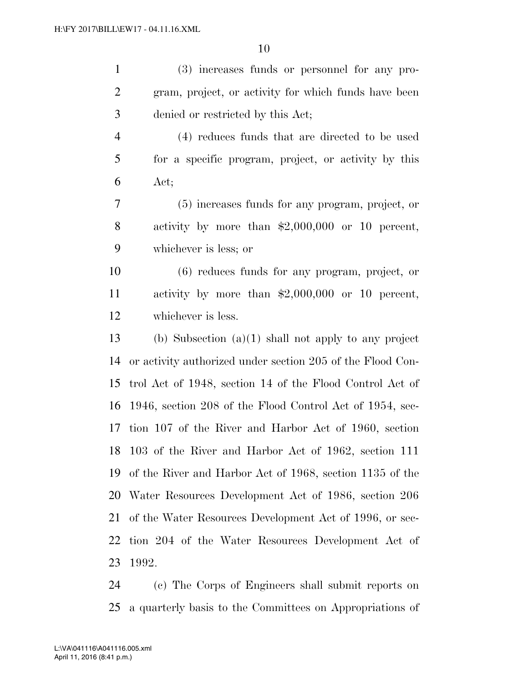(3) increases funds or personnel for any pro- gram, project, or activity for which funds have been denied or restricted by this Act;

 (4) reduces funds that are directed to be used for a specific program, project, or activity by this Act;

 (5) increases funds for any program, project, or activity by more than \$2,000,000 or 10 percent, whichever is less; or

 (6) reduces funds for any program, project, or activity by more than \$2,000,000 or 10 percent, whichever is less.

 (b) Subsection (a)(1) shall not apply to any project or activity authorized under section 205 of the Flood Con- trol Act of 1948, section 14 of the Flood Control Act of 1946, section 208 of the Flood Control Act of 1954, sec- tion 107 of the River and Harbor Act of 1960, section 103 of the River and Harbor Act of 1962, section 111 of the River and Harbor Act of 1968, section 1135 of the Water Resources Development Act of 1986, section 206 of the Water Resources Development Act of 1996, or sec- tion 204 of the Water Resources Development Act of 1992.

 (c) The Corps of Engineers shall submit reports on a quarterly basis to the Committees on Appropriations of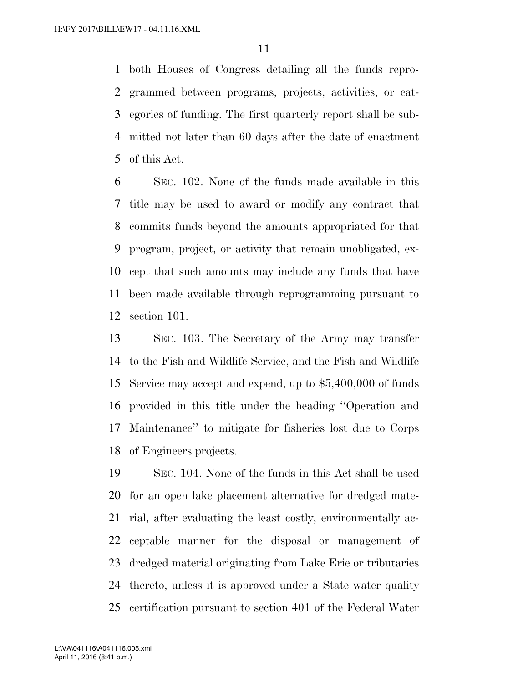both Houses of Congress detailing all the funds repro- grammed between programs, projects, activities, or cat- egories of funding. The first quarterly report shall be sub- mitted not later than 60 days after the date of enactment of this Act.

 SEC. 102. None of the funds made available in this title may be used to award or modify any contract that commits funds beyond the amounts appropriated for that program, project, or activity that remain unobligated, ex- cept that such amounts may include any funds that have been made available through reprogramming pursuant to section 101.

 SEC. 103. The Secretary of the Army may transfer to the Fish and Wildlife Service, and the Fish and Wildlife Service may accept and expend, up to \$5,400,000 of funds provided in this title under the heading ''Operation and Maintenance'' to mitigate for fisheries lost due to Corps of Engineers projects.

 SEC. 104. None of the funds in this Act shall be used for an open lake placement alternative for dredged mate- rial, after evaluating the least costly, environmentally ac- ceptable manner for the disposal or management of dredged material originating from Lake Erie or tributaries thereto, unless it is approved under a State water quality certification pursuant to section 401 of the Federal Water

April 11, 2016 (8:41 p.m.) L:\VA\041116\A041116.005.xml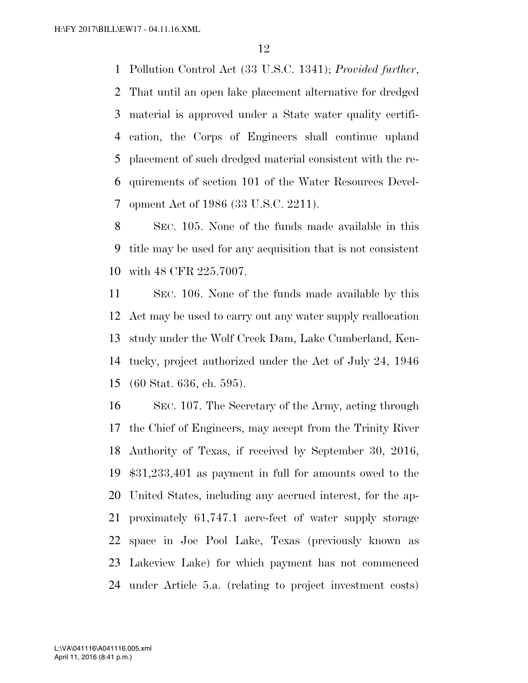Pollution Control Act (33 U.S.C. 1341); *Provided further*, That until an open lake placement alternative for dredged material is approved under a State water quality certifi- cation, the Corps of Engineers shall continue upland placement of such dredged material consistent with the re- quirements of section 101 of the Water Resources Devel-opment Act of 1986 (33 U.S.C. 2211).

 SEC. 105. None of the funds made available in this title may be used for any acquisition that is not consistent with 48 CFR 225.7007.

 SEC. 106. None of the funds made available by this Act may be used to carry out any water supply reallocation study under the Wolf Creek Dam, Lake Cumberland, Ken- tucky, project authorized under the Act of July 24, 1946 (60 Stat. 636, ch. 595).

 SEC. 107. The Secretary of the Army, acting through the Chief of Engineers, may accept from the Trinity River Authority of Texas, if received by September 30, 2016, \$31,233,401 as payment in full for amounts owed to the United States, including any accrued interest, for the ap- proximately 61,747.1 acre-feet of water supply storage space in Joe Pool Lake, Texas (previously known as Lakeview Lake) for which payment has not commenced under Article 5.a. (relating to project investment costs)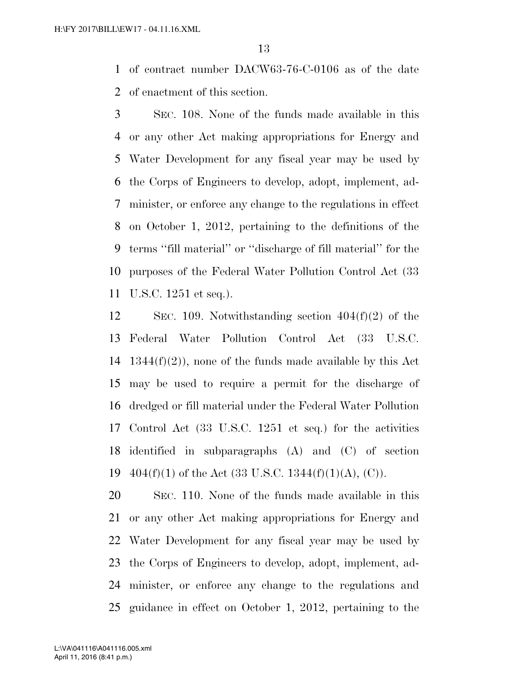of contract number DACW63-76-C-0106 as of the date of enactment of this section.

 SEC. 108. None of the funds made available in this or any other Act making appropriations for Energy and Water Development for any fiscal year may be used by the Corps of Engineers to develop, adopt, implement, ad- minister, or enforce any change to the regulations in effect on October 1, 2012, pertaining to the definitions of the terms ''fill material'' or ''discharge of fill material'' for the purposes of the Federal Water Pollution Control Act (33 U.S.C. 1251 et seq.).

 SEC. 109. Notwithstanding section 404(f)(2) of the Federal Water Pollution Control Act (33 U.S.C. 14 1344 $(f)(2)$ , none of the funds made available by this Act may be used to require a permit for the discharge of dredged or fill material under the Federal Water Pollution Control Act (33 U.S.C. 1251 et seq.) for the activities identified in subparagraphs (A) and (C) of section  $404(f)(1)$  of the Act (33 U.S.C. 1344 $(f)(1)(A)$ , (C)).

 SEC. 110. None of the funds made available in this or any other Act making appropriations for Energy and Water Development for any fiscal year may be used by the Corps of Engineers to develop, adopt, implement, ad- minister, or enforce any change to the regulations and guidance in effect on October 1, 2012, pertaining to the

April 11, 2016 (8:41 p.m.) L:\VA\041116\A041116.005.xml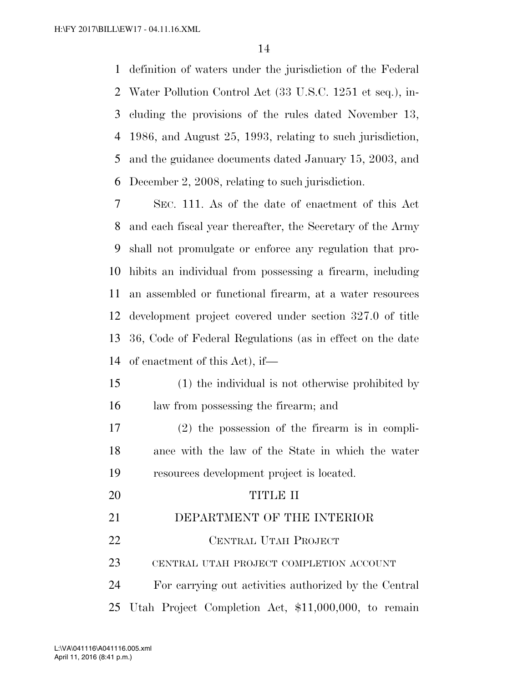definition of waters under the jurisdiction of the Federal Water Pollution Control Act (33 U.S.C. 1251 et seq.), in- cluding the provisions of the rules dated November 13, 1986, and August 25, 1993, relating to such jurisdiction, and the guidance documents dated January 15, 2003, and December 2, 2008, relating to such jurisdiction.

 SEC. 111. As of the date of enactment of this Act and each fiscal year thereafter, the Secretary of the Army shall not promulgate or enforce any regulation that pro- hibits an individual from possessing a firearm, including an assembled or functional firearm, at a water resources development project covered under section 327.0 of title 36, Code of Federal Regulations (as in effect on the date of enactment of this Act), if—

- (1) the individual is not otherwise prohibited by law from possessing the firearm; and
- (2) the possession of the firearm is in compli- ance with the law of the State in which the water resources development project is located.
- TITLE II DEPARTMENT OF THE INTERIOR CENTRAL UTAH PROJECT CENTRAL UTAH PROJECT COMPLETION ACCOUNT
- For carrying out activities authorized by the Central Utah Project Completion Act, \$11,000,000, to remain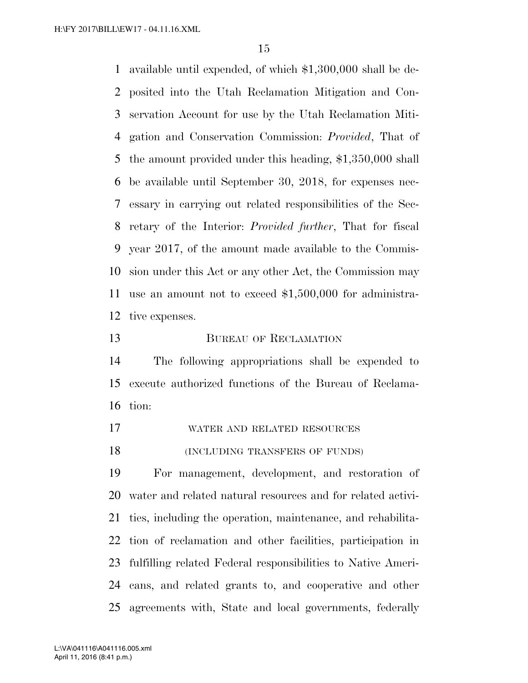available until expended, of which \$1,300,000 shall be de- posited into the Utah Reclamation Mitigation and Con- servation Account for use by the Utah Reclamation Miti- gation and Conservation Commission: *Provided*, That of the amount provided under this heading, \$1,350,000 shall be available until September 30, 2018, for expenses nec- essary in carrying out related responsibilities of the Sec- retary of the Interior: *Provided further*, That for fiscal year 2017, of the amount made available to the Commis- sion under this Act or any other Act, the Commission may use an amount not to exceed \$1,500,000 for administra-tive expenses.

BUREAU OF RECLAMATION

 The following appropriations shall be expended to execute authorized functions of the Bureau of Reclama-tion:

- WATER AND RELATED RESOURCES
- 18 (INCLUDING TRANSFERS OF FUNDS)

 For management, development, and restoration of water and related natural resources and for related activi- ties, including the operation, maintenance, and rehabilita- tion of reclamation and other facilities, participation in fulfilling related Federal responsibilities to Native Ameri- cans, and related grants to, and cooperative and other agreements with, State and local governments, federally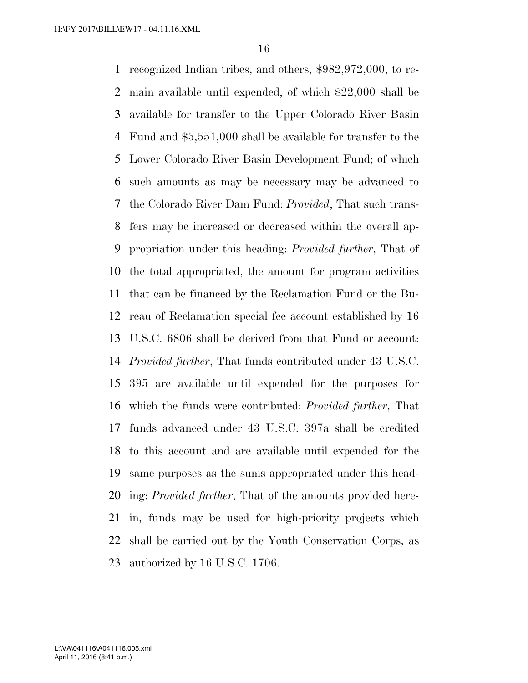recognized Indian tribes, and others, \$982,972,000, to re- main available until expended, of which \$22,000 shall be available for transfer to the Upper Colorado River Basin Fund and \$5,551,000 shall be available for transfer to the Lower Colorado River Basin Development Fund; of which such amounts as may be necessary may be advanced to the Colorado River Dam Fund: *Provided*, That such trans- fers may be increased or decreased within the overall ap- propriation under this heading: *Provided further*, That of the total appropriated, the amount for program activities that can be financed by the Reclamation Fund or the Bu- reau of Reclamation special fee account established by 16 U.S.C. 6806 shall be derived from that Fund or account: *Provided further*, That funds contributed under 43 U.S.C. 395 are available until expended for the purposes for which the funds were contributed: *Provided further*, That funds advanced under 43 U.S.C. 397a shall be credited to this account and are available until expended for the same purposes as the sums appropriated under this head- ing: *Provided further*, That of the amounts provided here- in, funds may be used for high-priority projects which shall be carried out by the Youth Conservation Corps, as authorized by 16 U.S.C. 1706.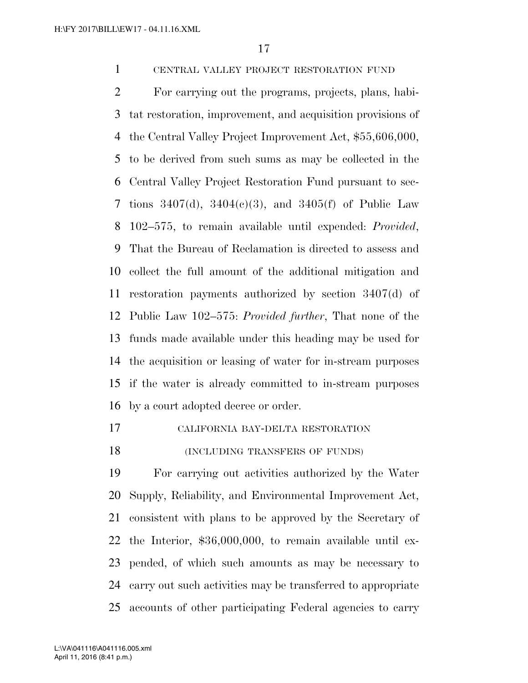CENTRAL VALLEY PROJECT RESTORATION FUND

 For carrying out the programs, projects, plans, habi- tat restoration, improvement, and acquisition provisions of the Central Valley Project Improvement Act, \$55,606,000, to be derived from such sums as may be collected in the Central Valley Project Restoration Fund pursuant to sec- tions 3407(d), 3404(c)(3), and 3405(f) of Public Law 102–575, to remain available until expended: *Provided*, That the Bureau of Reclamation is directed to assess and collect the full amount of the additional mitigation and restoration payments authorized by section 3407(d) of Public Law 102–575: *Provided further*, That none of the funds made available under this heading may be used for the acquisition or leasing of water for in-stream purposes if the water is already committed to in-stream purposes by a court adopted decree or order.

- CALIFORNIA BAY-DELTA RESTORATION
- 18 (INCLUDING TRANSFERS OF FUNDS)

 For carrying out activities authorized by the Water Supply, Reliability, and Environmental Improvement Act, consistent with plans to be approved by the Secretary of the Interior, \$36,000,000, to remain available until ex- pended, of which such amounts as may be necessary to carry out such activities may be transferred to appropriate accounts of other participating Federal agencies to carry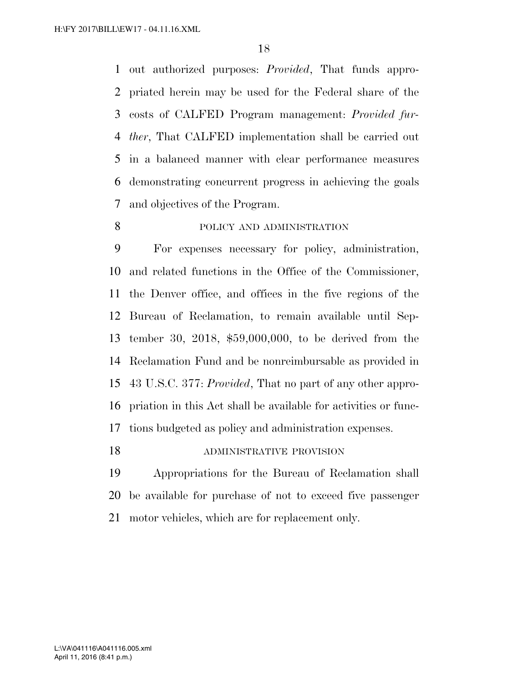out authorized purposes: *Provided*, That funds appro- priated herein may be used for the Federal share of the costs of CALFED Program management: *Provided fur- ther*, That CALFED implementation shall be carried out in a balanced manner with clear performance measures demonstrating concurrent progress in achieving the goals and objectives of the Program.

8 POLICY AND ADMINISTRATION

 For expenses necessary for policy, administration, and related functions in the Office of the Commissioner, the Denver office, and offices in the five regions of the Bureau of Reclamation, to remain available until Sep- tember 30, 2018, \$59,000,000, to be derived from the Reclamation Fund and be nonreimbursable as provided in 43 U.S.C. 377: *Provided*, That no part of any other appro- priation in this Act shall be available for activities or func-tions budgeted as policy and administration expenses.

18 ADMINISTRATIVE PROVISION

 Appropriations for the Bureau of Reclamation shall be available for purchase of not to exceed five passenger motor vehicles, which are for replacement only.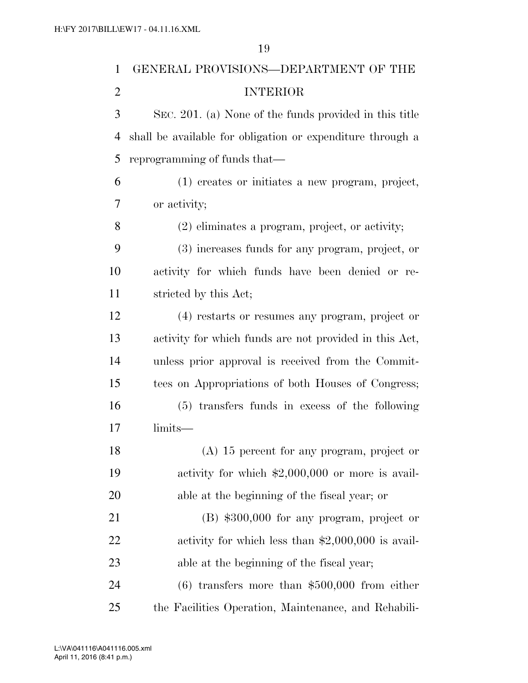# GENERAL PROVISIONS—DEPARTMENT OF THE INTERIOR SEC. 201. (a) None of the funds provided in this title shall be available for obligation or expenditure through a reprogramming of funds that— (1) creates or initiates a new program, project, or activity; (2) eliminates a program, project, or activity; (3) increases funds for any program, project, or activity for which funds have been denied or re- stricted by this Act; (4) restarts or resumes any program, project or activity for which funds are not provided in this Act, unless prior approval is received from the Commit- tees on Appropriations of both Houses of Congress; (5) transfers funds in excess of the following limits— (A) 15 percent for any program, project or activity for which \$2,000,000 or more is avail- able at the beginning of the fiscal year; or (B) \$300,000 for any program, project or 22 activity for which less than \$2,000,000 is avail-23 able at the beginning of the fiscal year; (6) transfers more than \$500,000 from either the Facilities Operation, Maintenance, and Rehabili-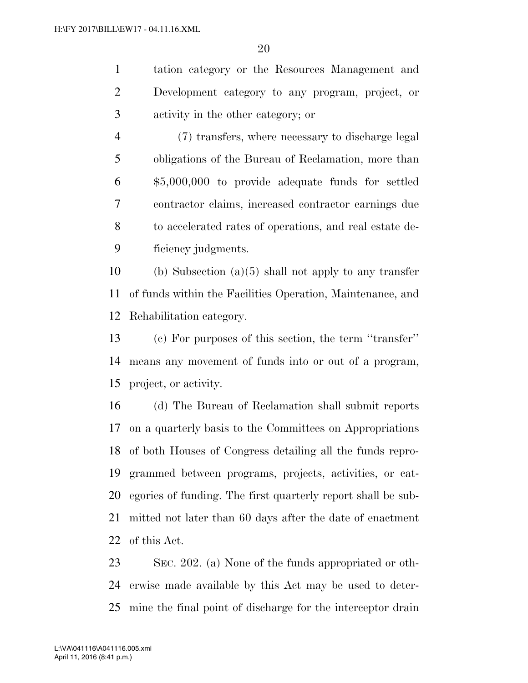tation category or the Resources Management and Development category to any program, project, or activity in the other category; or

 (7) transfers, where necessary to discharge legal obligations of the Bureau of Reclamation, more than \$5,000,000 to provide adequate funds for settled contractor claims, increased contractor earnings due to accelerated rates of operations, and real estate de-ficiency judgments.

10 (b) Subsection (a)(5) shall not apply to any transfer of funds within the Facilities Operation, Maintenance, and Rehabilitation category.

 (c) For purposes of this section, the term ''transfer'' means any movement of funds into or out of a program, project, or activity.

 (d) The Bureau of Reclamation shall submit reports on a quarterly basis to the Committees on Appropriations of both Houses of Congress detailing all the funds repro- grammed between programs, projects, activities, or cat- egories of funding. The first quarterly report shall be sub- mitted not later than 60 days after the date of enactment of this Act.

 SEC. 202. (a) None of the funds appropriated or oth- erwise made available by this Act may be used to deter-mine the final point of discharge for the interceptor drain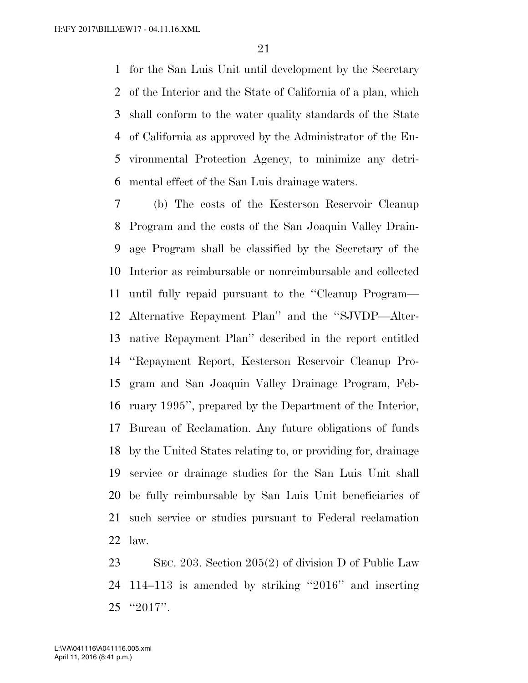for the San Luis Unit until development by the Secretary of the Interior and the State of California of a plan, which shall conform to the water quality standards of the State of California as approved by the Administrator of the En- vironmental Protection Agency, to minimize any detri-mental effect of the San Luis drainage waters.

 (b) The costs of the Kesterson Reservoir Cleanup Program and the costs of the San Joaquin Valley Drain- age Program shall be classified by the Secretary of the Interior as reimbursable or nonreimbursable and collected until fully repaid pursuant to the ''Cleanup Program— Alternative Repayment Plan'' and the ''SJVDP—Alter- native Repayment Plan'' described in the report entitled ''Repayment Report, Kesterson Reservoir Cleanup Pro- gram and San Joaquin Valley Drainage Program, Feb- ruary 1995'', prepared by the Department of the Interior, Bureau of Reclamation. Any future obligations of funds by the United States relating to, or providing for, drainage service or drainage studies for the San Luis Unit shall be fully reimbursable by San Luis Unit beneficiaries of such service or studies pursuant to Federal reclamation law.

 SEC. 203. Section 205(2) of division D of Public Law 114–113 is amended by striking ''2016'' and inserting ''2017''.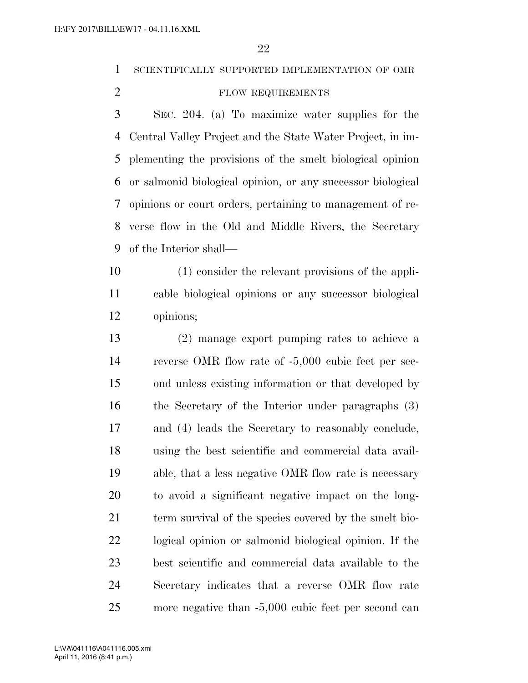## SCIENTIFICALLY SUPPORTED IMPLEMENTATION OF OMR

# 2 FLOW REQUIREMENTS

 SEC. 204. (a) To maximize water supplies for the Central Valley Project and the State Water Project, in im- plementing the provisions of the smelt biological opinion or salmonid biological opinion, or any successor biological opinions or court orders, pertaining to management of re- verse flow in the Old and Middle Rivers, the Secretary of the Interior shall—

 (1) consider the relevant provisions of the appli- cable biological opinions or any successor biological opinions;

 (2) manage export pumping rates to achieve a reverse OMR flow rate of -5,000 cubic feet per sec- ond unless existing information or that developed by the Secretary of the Interior under paragraphs (3) and (4) leads the Secretary to reasonably conclude, using the best scientific and commercial data avail- able, that a less negative OMR flow rate is necessary to avoid a significant negative impact on the long-21 term survival of the species covered by the smelt bio- logical opinion or salmonid biological opinion. If the best scientific and commercial data available to the Secretary indicates that a reverse OMR flow rate more negative than -5,000 cubic feet per second can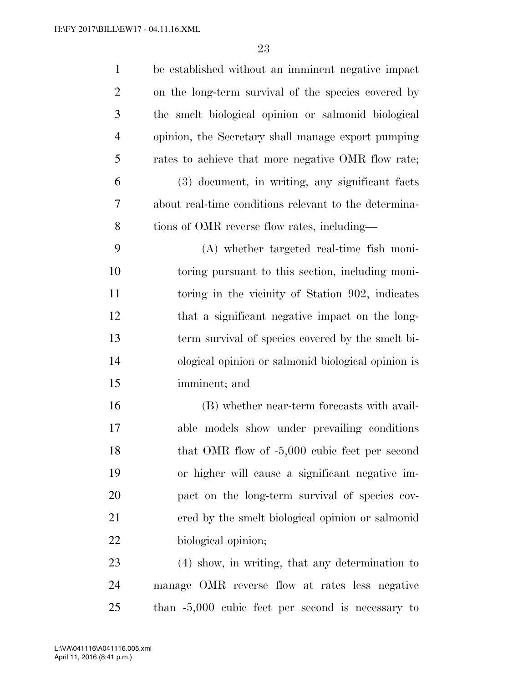| $\mathbf{1}$   | be established without an imminent negative impact    |
|----------------|-------------------------------------------------------|
| $\overline{2}$ | on the long-term survival of the species covered by   |
| 3              | the smelt biological opinion or salmonid biological   |
| $\overline{4}$ | opinion, the Secretary shall manage export pumping    |
| 5              | rates to achieve that more negative OMR flow rate;    |
| 6              | (3) document, in writing, any significant facts       |
| 7              | about real-time conditions relevant to the determina- |
| 8              | tions of OMR reverse flow rates, including—           |
| 9              | (A) whether targeted real-time fish moni-             |
| 10             | toring pursuant to this section, including moni-      |
| 11             | toring in the vicinity of Station 902, indicates      |
| 12             | that a significant negative impact on the long-       |
| 13             | term survival of species covered by the smelt bi-     |
| 14             | ological opinion or salmonid biological opinion is    |
| 15             | imminent; and                                         |
| 16             | (B) whether near-term forecasts with avail-           |
| 17             | able models show under prevailing conditions          |
| 18             | that OMR flow of -5,000 cubic feet per second         |
| 19             | or higher will cause a significant negative im-       |
| 20             | pact on the long-term survival of species cov-        |
| 21             | ered by the smelt biological opinion or salmonid      |
| 22             | biological opinion;                                   |
| 23             | $(4)$ show, in writing, that any determination to     |
| 24             | manage OMR reverse flow at rates less negative        |
| 25             | than $-5,000$ cubic feet per second is necessary to   |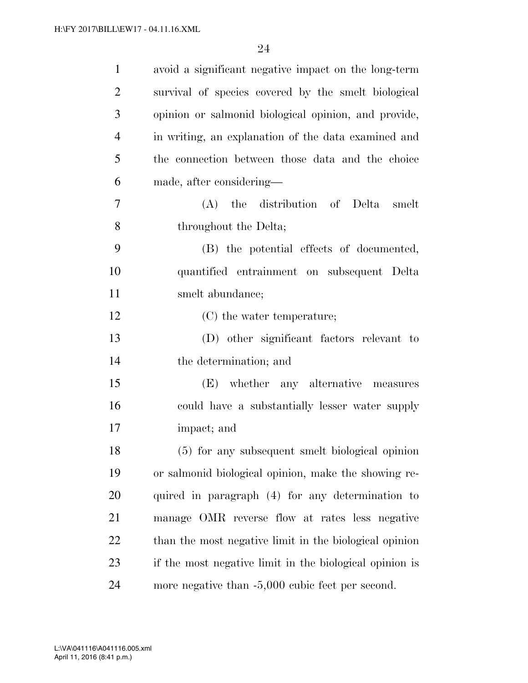| $\mathbf{1}$   | avoid a significant negative impact on the long-term    |
|----------------|---------------------------------------------------------|
| $\overline{2}$ | survival of species covered by the smelt biological     |
| 3              | opinion or salmonid biological opinion, and provide,    |
| $\overline{4}$ | in writing, an explanation of the data examined and     |
| 5              | the connection between those data and the choice        |
| 6              | made, after considering—                                |
| 7              | (A) the distribution of Delta<br>smelt                  |
| 8              | throughout the Delta;                                   |
| 9              | (B) the potential effects of documented,                |
| 10             | quantified entrainment on subsequent Delta              |
| 11             | smelt abundance;                                        |
| 12             | (C) the water temperature;                              |
| 13             | (D) other significant factors relevant to               |
| 14             | the determination; and                                  |
| 15             | (E) whether any alternative measures                    |
| 16             | could have a substantially lesser water supply          |
| 17             | impact; and                                             |
| 18             | (5) for any subsequent smelt biological opinion         |
| 19             | or salmonid biological opinion, make the showing re-    |
| 20             | quired in paragraph (4) for any determination to        |
| 21             | manage OMR reverse flow at rates less negative          |
| 22             | than the most negative limit in the biological opinion  |
| 23             | if the most negative limit in the biological opinion is |
| 24             | more negative than -5,000 cubic feet per second.        |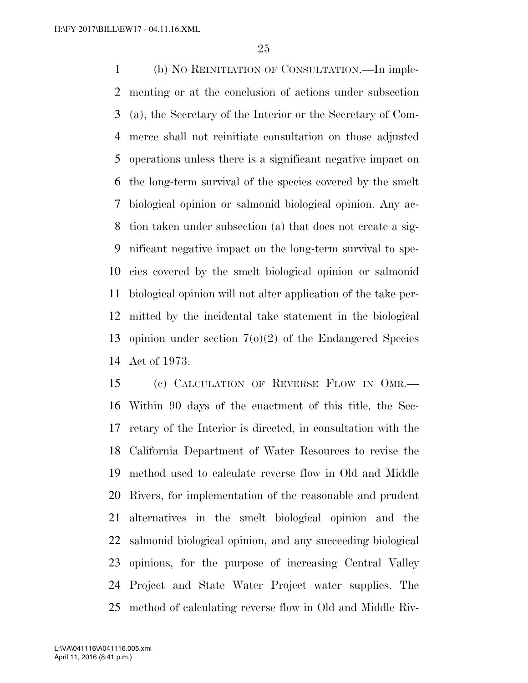(b) NO REINITIATION OF CONSULTATION.—In imple- menting or at the conclusion of actions under subsection (a), the Secretary of the Interior or the Secretary of Com- merce shall not reinitiate consultation on those adjusted operations unless there is a significant negative impact on the long-term survival of the species covered by the smelt biological opinion or salmonid biological opinion. Any ac- tion taken under subsection (a) that does not create a sig- nificant negative impact on the long-term survival to spe- cies covered by the smelt biological opinion or salmonid biological opinion will not alter application of the take per- mitted by the incidental take statement in the biological opinion under section 7(o)(2) of the Endangered Species Act of 1973.

 (c) CALCULATION OF REVERSE FLOW IN OMR.— Within 90 days of the enactment of this title, the Sec- retary of the Interior is directed, in consultation with the California Department of Water Resources to revise the method used to calculate reverse flow in Old and Middle Rivers, for implementation of the reasonable and prudent alternatives in the smelt biological opinion and the salmonid biological opinion, and any succeeding biological opinions, for the purpose of increasing Central Valley Project and State Water Project water supplies. The method of calculating reverse flow in Old and Middle Riv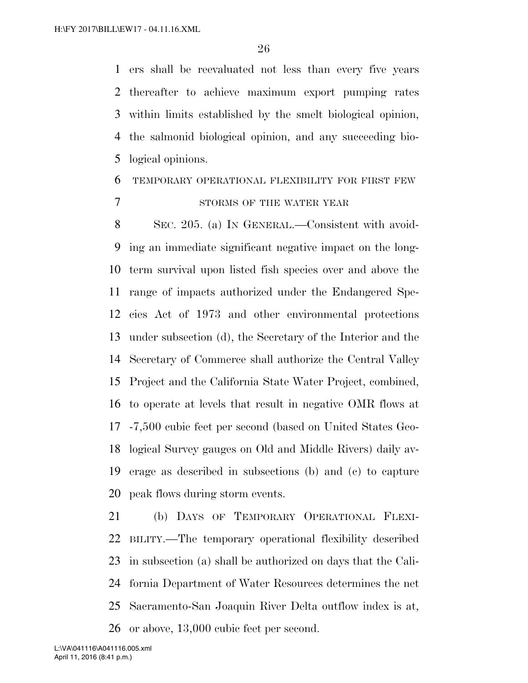ers shall be reevaluated not less than every five years thereafter to achieve maximum export pumping rates within limits established by the smelt biological opinion, the salmonid biological opinion, and any succeeding bio-logical opinions.

# TEMPORARY OPERATIONAL FLEXIBILITY FOR FIRST FEW

7 STORMS OF THE WATER YEAR

 SEC. 205. (a) IN GENERAL.—Consistent with avoid- ing an immediate significant negative impact on the long- term survival upon listed fish species over and above the range of impacts authorized under the Endangered Spe- cies Act of 1973 and other environmental protections under subsection (d), the Secretary of the Interior and the Secretary of Commerce shall authorize the Central Valley Project and the California State Water Project, combined, to operate at levels that result in negative OMR flows at -7,500 cubic feet per second (based on United States Geo- logical Survey gauges on Old and Middle Rivers) daily av- erage as described in subsections (b) and (c) to capture peak flows during storm events.

 (b) DAYS OF TEMPORARY OPERATIONAL FLEXI- BILITY.—The temporary operational flexibility described in subsection (a) shall be authorized on days that the Cali- fornia Department of Water Resources determines the net Sacramento-San Joaquin River Delta outflow index is at, or above, 13,000 cubic feet per second.

April 11, 2016 (8:41 p.m.) L:\VA\041116\A041116.005.xml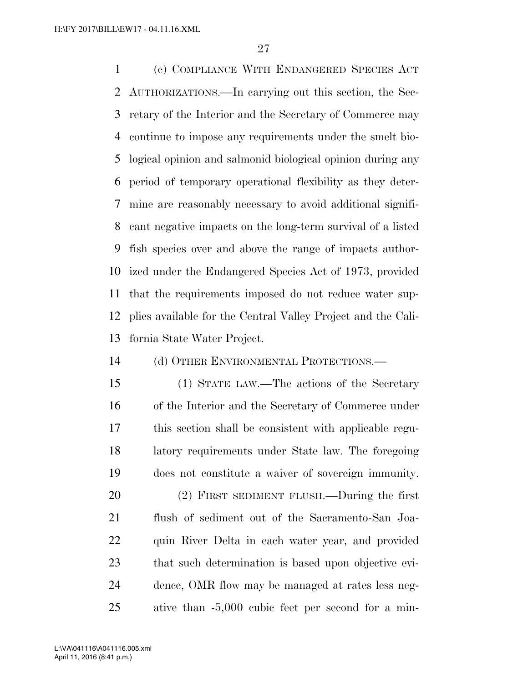(c) COMPLIANCE WITH ENDANGERED SPECIES ACT AUTHORIZATIONS.—In carrying out this section, the Sec- retary of the Interior and the Secretary of Commerce may continue to impose any requirements under the smelt bio- logical opinion and salmonid biological opinion during any period of temporary operational flexibility as they deter- mine are reasonably necessary to avoid additional signifi- cant negative impacts on the long-term survival of a listed fish species over and above the range of impacts author- ized under the Endangered Species Act of 1973, provided that the requirements imposed do not reduce water sup- plies available for the Central Valley Project and the Cali-fornia State Water Project.

14 (d) OTHER ENVIRONMENTAL PROTECTIONS.—

 (1) STATE LAW.—The actions of the Secretary of the Interior and the Secretary of Commerce under this section shall be consistent with applicable regu- latory requirements under State law. The foregoing does not constitute a waiver of sovereign immunity.

 (2) FIRST SEDIMENT FLUSH.—During the first flush of sediment out of the Sacramento-San Joa- quin River Delta in each water year, and provided that such determination is based upon objective evi- dence, OMR flow may be managed at rates less neg-ative than -5,000 cubic feet per second for a min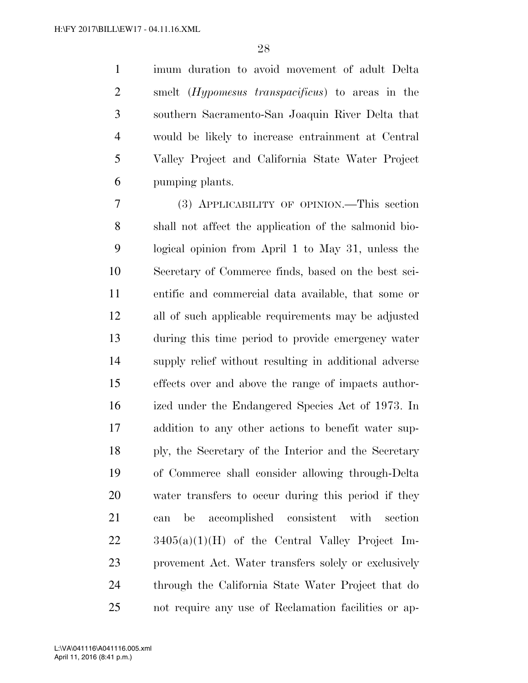imum duration to avoid movement of adult Delta smelt (*Hypomesus transpacificus*) to areas in the southern Sacramento-San Joaquin River Delta that would be likely to increase entrainment at Central Valley Project and California State Water Project pumping plants.

 (3) APPLICABILITY OF OPINION.—This section shall not affect the application of the salmonid bio- logical opinion from April 1 to May 31, unless the Secretary of Commerce finds, based on the best sci- entific and commercial data available, that some or all of such applicable requirements may be adjusted during this time period to provide emergency water supply relief without resulting in additional adverse effects over and above the range of impacts author- ized under the Endangered Species Act of 1973. In addition to any other actions to benefit water sup- ply, the Secretary of the Interior and the Secretary of Commerce shall consider allowing through-Delta water transfers to occur during this period if they can be accomplished consistent with section 3405(a)(1)(H) of the Central Valley Project Im- provement Act. Water transfers solely or exclusively through the California State Water Project that do not require any use of Reclamation facilities or ap-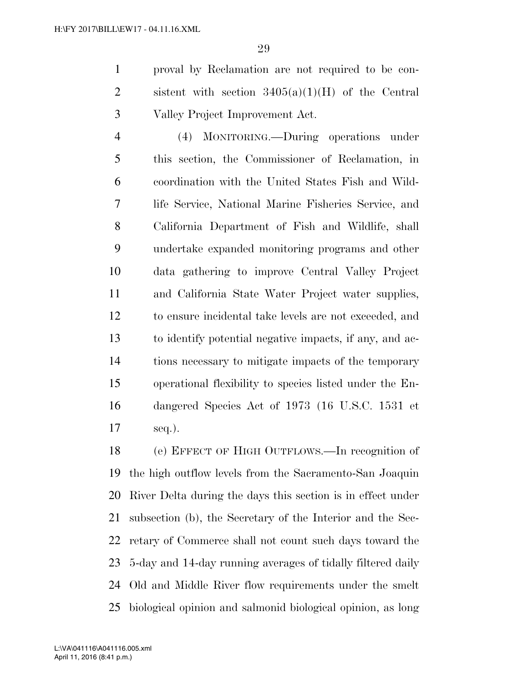proval by Reclamation are not required to be con-2 sistent with section  $3405(a)(1)(H)$  of the Central Valley Project Improvement Act.

 (4) MONITORING.—During operations under this section, the Commissioner of Reclamation, in coordination with the United States Fish and Wild- life Service, National Marine Fisheries Service, and California Department of Fish and Wildlife, shall undertake expanded monitoring programs and other data gathering to improve Central Valley Project and California State Water Project water supplies, to ensure incidental take levels are not exceeded, and to identify potential negative impacts, if any, and ac- tions necessary to mitigate impacts of the temporary operational flexibility to species listed under the En- dangered Species Act of 1973 (16 U.S.C. 1531 et seq.).

 (e) EFFECT OF HIGH OUTFLOWS.—In recognition of the high outflow levels from the Sacramento-San Joaquin River Delta during the days this section is in effect under subsection (b), the Secretary of the Interior and the Sec- retary of Commerce shall not count such days toward the 5-day and 14-day running averages of tidally filtered daily Old and Middle River flow requirements under the smelt biological opinion and salmonid biological opinion, as long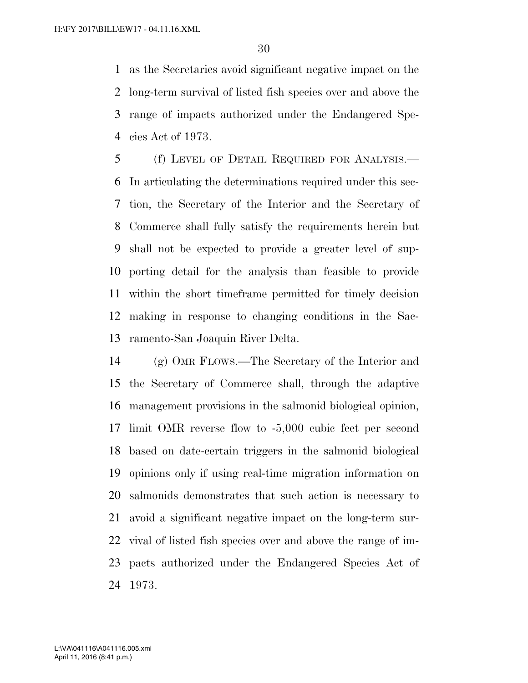as the Secretaries avoid significant negative impact on the long-term survival of listed fish species over and above the range of impacts authorized under the Endangered Spe-cies Act of 1973.

 (f) LEVEL OF DETAIL REQUIRED FOR ANALYSIS.— In articulating the determinations required under this sec- tion, the Secretary of the Interior and the Secretary of Commerce shall fully satisfy the requirements herein but shall not be expected to provide a greater level of sup- porting detail for the analysis than feasible to provide within the short timeframe permitted for timely decision making in response to changing conditions in the Sac-ramento-San Joaquin River Delta.

 (g) OMR FLOWS.—The Secretary of the Interior and the Secretary of Commerce shall, through the adaptive management provisions in the salmonid biological opinion, limit OMR reverse flow to -5,000 cubic feet per second based on date-certain triggers in the salmonid biological opinions only if using real-time migration information on salmonids demonstrates that such action is necessary to avoid a significant negative impact on the long-term sur- vival of listed fish species over and above the range of im- pacts authorized under the Endangered Species Act of 1973.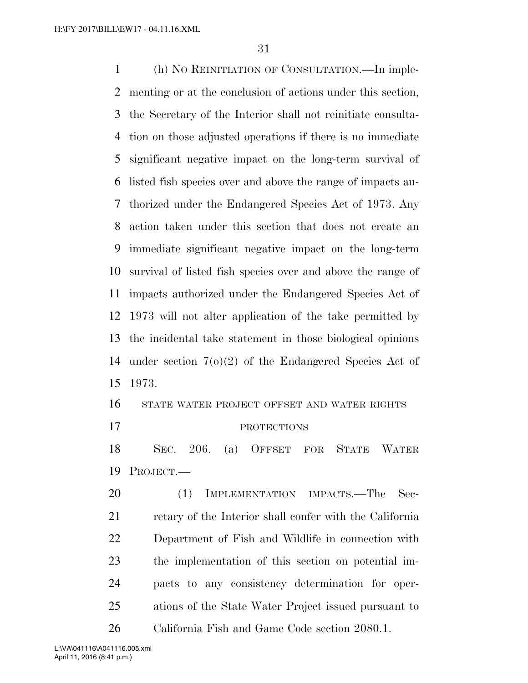(h) NO REINITIATION OF CONSULTATION.—In imple- menting or at the conclusion of actions under this section, the Secretary of the Interior shall not reinitiate consulta- tion on those adjusted operations if there is no immediate significant negative impact on the long-term survival of listed fish species over and above the range of impacts au- thorized under the Endangered Species Act of 1973. Any action taken under this section that does not create an immediate significant negative impact on the long-term survival of listed fish species over and above the range of impacts authorized under the Endangered Species Act of 1973 will not alter application of the take permitted by the incidental take statement in those biological opinions under section 7(o)(2) of the Endangered Species Act of 1973.

STATE WATER PROJECT OFFSET AND WATER RIGHTS

17 PROTECTIONS

 SEC. 206. (a) OFFSET FOR STATE WATER PROJECT.—

 (1) IMPLEMENTATION IMPACTS.—The Sec-21 retary of the Interior shall confer with the California Department of Fish and Wildlife in connection with the implementation of this section on potential im- pacts to any consistency determination for oper- ations of the State Water Project issued pursuant to California Fish and Game Code section 2080.1.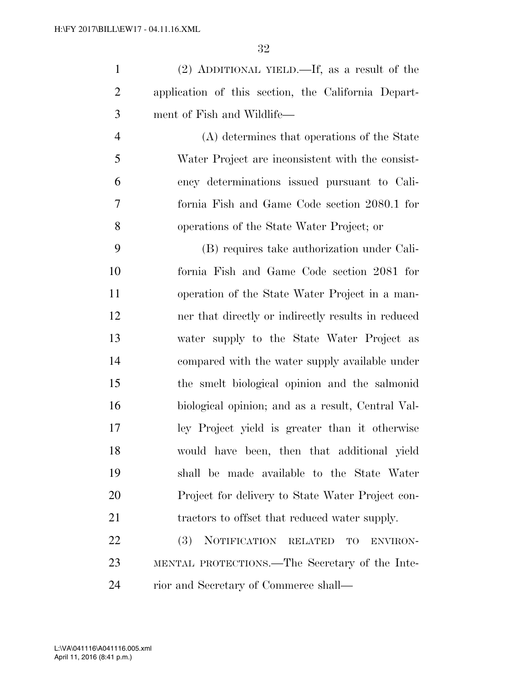(2) ADDITIONAL YIELD.—If, as a result of the application of this section, the California Depart-ment of Fish and Wildlife—

 (A) determines that operations of the State Water Project are inconsistent with the consist- ency determinations issued pursuant to Cali- fornia Fish and Game Code section 2080.1 for operations of the State Water Project; or

 (B) requires take authorization under Cali- fornia Fish and Game Code section 2081 for operation of the State Water Project in a man- ner that directly or indirectly results in reduced water supply to the State Water Project as compared with the water supply available under the smelt biological opinion and the salmonid biological opinion; and as a result, Central Val- ley Project yield is greater than it otherwise would have been, then that additional yield shall be made available to the State Water Project for delivery to State Water Project con-21 tractors to offset that reduced water supply.

 (3) NOTIFICATION RELATED TO ENVIRON- MENTAL PROTECTIONS.—The Secretary of the Inte-rior and Secretary of Commerce shall—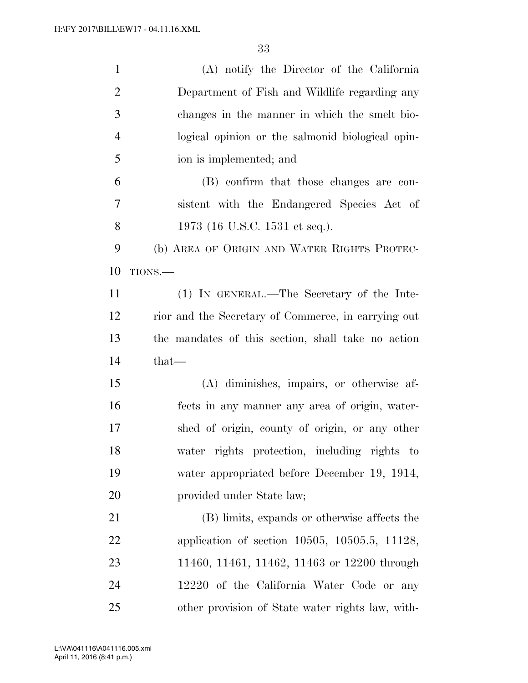| $\mathbf{1}$   | (A) notify the Director of the California           |
|----------------|-----------------------------------------------------|
| $\overline{2}$ | Department of Fish and Wildlife regarding any       |
| 3              | changes in the manner in which the smelt bio-       |
| $\overline{4}$ | logical opinion or the salmonid biological opin-    |
| 5              | ion is implemented; and                             |
| 6              | (B) confirm that those changes are con-             |
| $\overline{7}$ | sistent with the Endangered Species Act of          |
| 8              | 1973 (16 U.S.C. 1531 et seq.).                      |
| 9              | (b) AREA OF ORIGIN AND WATER RIGHTS PROTEC-         |
| 10             | TIONS.                                              |
| 11             | (1) IN GENERAL.—The Secretary of the Inte-          |
| 12             | rior and the Secretary of Commerce, in carrying out |
| 13             | the mandates of this section, shall take no action  |
| 14             | $that$ —                                            |
| 15             | (A) diminishes, impairs, or otherwise af-           |
| 16             | fects in any manner any area of origin, water-      |
| 17             | shed of origin, county of origin, or any other      |
| 18             | water rights protection, including rights to        |
| 19             | water appropriated before December 19, 1914,        |
| 20             | provided under State law;                           |
| 21             | (B) limits, expands or otherwise affects the        |
| 22             | application of section 10505, 10505.5, 11128,       |
| 23             | 11460, 11461, 11462, 11463 or 12200 through         |
| 24             | 12220 of the California Water Code or any           |
| 25             | other provision of State water rights law, with-    |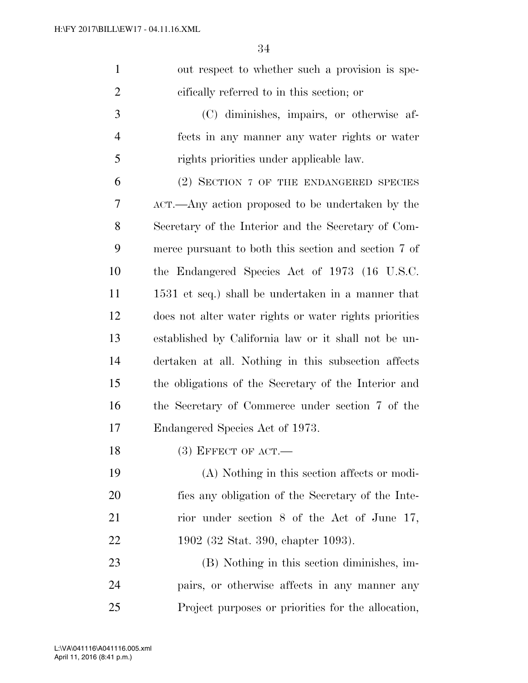|                | 34                                                     |
|----------------|--------------------------------------------------------|
| $\mathbf{1}$   | out respect to whether such a provision is spe-        |
| $\overline{2}$ | eifically referred to in this section; or              |
| 3              | (C) diminishes, impairs, or otherwise af-              |
| $\overline{4}$ | fects in any manner any water rights or water          |
| 5              | rights priorities under applicable law.                |
| 6              | (2) SECTION 7 OF THE ENDANGERED SPECIES                |
| 7              | ACT.—Any action proposed to be undertaken by the       |
| 8              | Secretary of the Interior and the Secretary of Com-    |
| 9              | merce pursuant to both this section and section 7 of   |
| 10             | the Endangered Species Act of 1973 (16 U.S.C.          |
| <sup>11</sup>  | 1531 et seq.) shall be undertaken in a manner that     |
| 12             | does not alter water rights or water rights priorities |
| 13             | established by California law or it shall not be un-   |
| 14             | dertaken at all. Nothing in this subsection affects    |
| 15             | the obligations of the Secretary of the Interior and   |
| 16             | the Secretary of Commerce under section 7 of the       |
| 17             | Endangered Species Act of 1973.                        |
| 18             | $(3)$ EFFECT OF ACT.—                                  |
| 19             | (A) Nothing in this section affects or modi-           |
| 20             | fies any obligation of the Secretary of the Inte-      |

21 rior under section 8 of the Act of June 17, 1902 (32 Stat. 390, chapter 1093).

 (B) Nothing in this section diminishes, im- pairs, or otherwise affects in any manner any Project purposes or priorities for the allocation,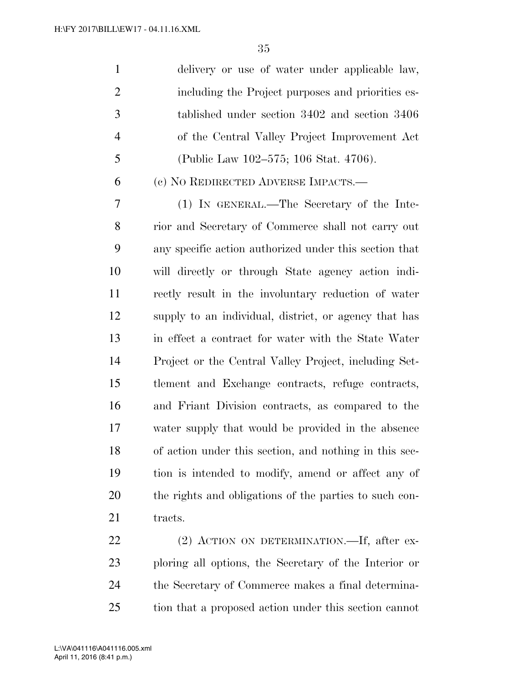delivery or use of water under applicable law, including the Project purposes and priorities es- tablished under section 3402 and section 3406 of the Central Valley Project Improvement Act (Public Law 102–575; 106 Stat. 4706).

(c) NO REDIRECTED ADVERSE IMPACTS.—

 (1) IN GENERAL.—The Secretary of the Inte- rior and Secretary of Commerce shall not carry out any specific action authorized under this section that will directly or through State agency action indi- rectly result in the involuntary reduction of water supply to an individual, district, or agency that has in effect a contract for water with the State Water Project or the Central Valley Project, including Set- tlement and Exchange contracts, refuge contracts, and Friant Division contracts, as compared to the water supply that would be provided in the absence of action under this section, and nothing in this sec- tion is intended to modify, amend or affect any of the rights and obligations of the parties to such con-21 tracts.

22 (2) ACTION ON DETERMINATION.—If, after ex- ploring all options, the Secretary of the Interior or the Secretary of Commerce makes a final determina-tion that a proposed action under this section cannot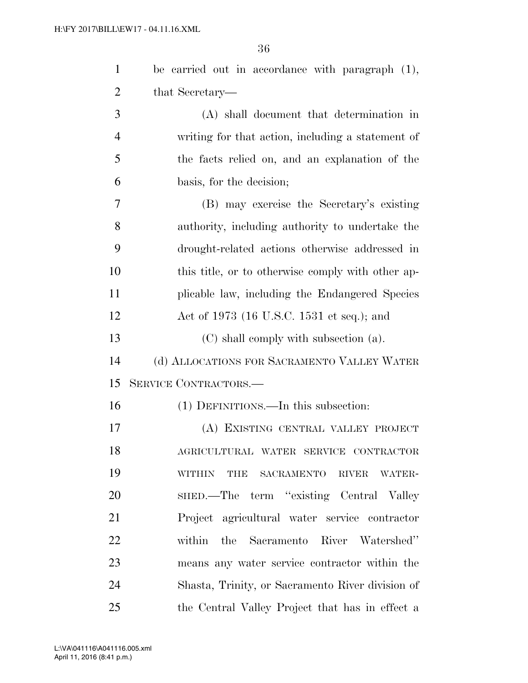| $\mathbf{1}$   | be carried out in accordance with paragraph (1),             |
|----------------|--------------------------------------------------------------|
| $\overline{2}$ | that Secretary-                                              |
| 3              | (A) shall document that determination in                     |
| $\overline{4}$ | writing for that action, including a statement of            |
| 5              | the facts relied on, and an explanation of the               |
| 6              | basis, for the decision;                                     |
| 7              | (B) may exercise the Secretary's existing                    |
| 8              | authority, including authority to undertake the              |
| 9              | drought-related actions otherwise addressed in               |
| 10             | this title, or to otherwise comply with other ap-            |
| 11             | plicable law, including the Endangered Species               |
| 12             | Act of 1973 (16 U.S.C. 1531 et seq.); and                    |
| 13             | (C) shall comply with subsection (a).                        |
| 14             | (d) ALLOCATIONS FOR SACRAMENTO VALLEY WATER                  |
| 15             | SERVICE CONTRACTORS.—                                        |
| 16             | (1) DEFINITIONS.—In this subsection:                         |
| 17             | (A) EXISTING CENTRAL VALLEY PROJECT                          |
| 18             | AGRICULTURAL WATER SERVICE CONTRACTOR                        |
| 19             | THE<br>SACRAMENTO<br><b>RIVER</b><br><b>WITHIN</b><br>WATER- |
| 20             | SHED.—The term "existing Central Valley                      |
| 21             | Project agricultural water service contractor                |
| 22             | within the Sacramento River Watershed"                       |
| 23             | means any water service contractor within the                |
| 24             | Shasta, Trinity, or Sacramento River division of             |
| 25             | the Central Valley Project that has in effect a              |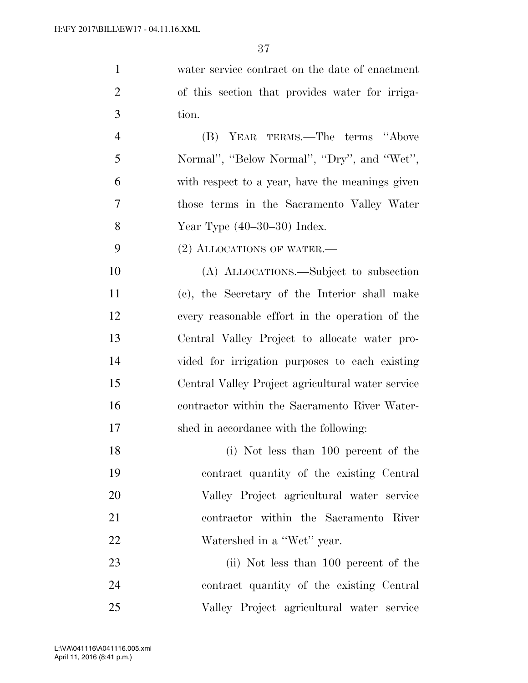water service contract on the date of enactment of this section that provides water for irriga- tion. (B) YEAR TERMS.—The terms ''Above Normal'', ''Below Normal'', ''Dry'', and ''Wet'', with respect to a year, have the meanings given those terms in the Sacramento Valley Water Year Type (40–30–30) Index. 9 (2) ALLOCATIONS OF WATER. (A) ALLOCATIONS.—Subject to subsection (c), the Secretary of the Interior shall make every reasonable effort in the operation of the Central Valley Project to allocate water pro- vided for irrigation purposes to each existing Central Valley Project agricultural water service contractor within the Sacramento River Water- shed in accordance with the following: (i) Not less than 100 percent of the contract quantity of the existing Central Valley Project agricultural water service

 contractor within the Sacramento River 22 Watershed in a "Wet" year.

23 (ii) Not less than 100 percent of the contract quantity of the existing Central Valley Project agricultural water service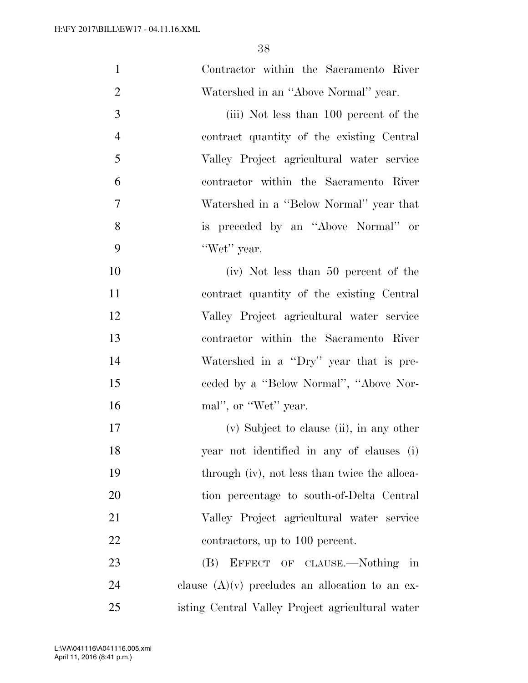| $\mathbf{1}$   | Contractor within the Sacramento River            |
|----------------|---------------------------------------------------|
| $\overline{2}$ | Watershed in an "Above Normal" year.              |
| 3              | (iii) Not less than 100 percent of the            |
| $\overline{4}$ | contract quantity of the existing Central         |
| 5              | Valley Project agricultural water service         |
| 6              | contractor within the Sacramento River            |
| $\overline{7}$ | Watershed in a "Below Normal" year that           |
| 8              | is preceded by an "Above Normal" or               |
| 9              | "Wet" year.                                       |
| 10             | (iv) Not less than 50 percent of the              |
| 11             | contract quantity of the existing Central         |
| 12             | Valley Project agricultural water service         |
| 13             | contractor within the Sacramento River            |
| 14             | Watershed in a "Dry" year that is pre-            |
| 15             | ceded by a "Below Normal", "Above Nor-            |
| 16             | mal", or "Wet" year.                              |
| 17             | $(v)$ Subject to clause (ii), in any other        |
| 18             | year not identified in any of clauses (i)         |
| 19             | through (iv), not less than twice the alloca-     |
| 20             | tion percentage to south-of-Delta Central         |
| 21             | Valley Project agricultural water service         |
| 22             | contractors, up to 100 percent.                   |
| 23             | (B)<br>EFFECT OF CLAUSE.—Nothing in               |
| 24             | clause $(A)(v)$ precludes an allocation to an ex- |
| 25             | isting Central Valley Project agricultural water  |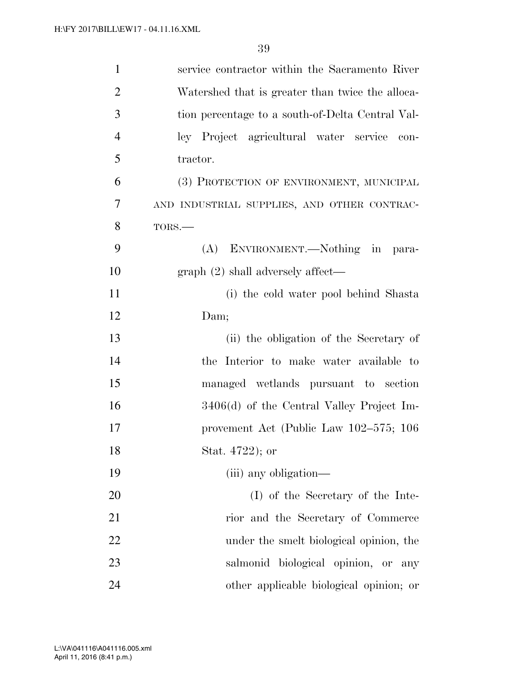| $\mathbf{1}$   | service contractor within the Sacramento River   |
|----------------|--------------------------------------------------|
| $\overline{2}$ | Watershed that is greater than twice the alloca- |
| 3              | tion percentage to a south-of-Delta Central Val- |
| $\overline{4}$ | ley Project agricultural water service<br>con-   |
| 5              | tractor.                                         |
| 6              | (3) PROTECTION OF ENVIRONMENT, MUNICIPAL         |
| 7              | AND INDUSTRIAL SUPPLIES, AND OTHER CONTRAC-      |
| 8              | TORS.-                                           |
| 9              | ENVIRONMENT.—Nothing in para-<br>(A)             |
| 10             | $graph (2) shall adversely affect-$              |
| 11             | (i) the cold water pool behind Shasta            |
| 12             | Dam;                                             |
| 13             | (ii) the obligation of the Secretary of          |
| 14             | the Interior to make water available to          |
| 15             | managed wetlands pursuant to section             |
| 16             | 3406(d) of the Central Valley Project Im-        |
| 17             | provement Act (Public Law 102–575; 106           |
| 18             | Stat. 4722); or                                  |
| 19             | (iii) any obligation-                            |
| 20             | (I) of the Secretary of the Inte-                |
| 21             | rior and the Secretary of Commerce               |
| 22             | under the smelt biological opinion, the          |
| 23             | salmonid biological opinion, or any              |
| 24             | other applicable biological opinion; or          |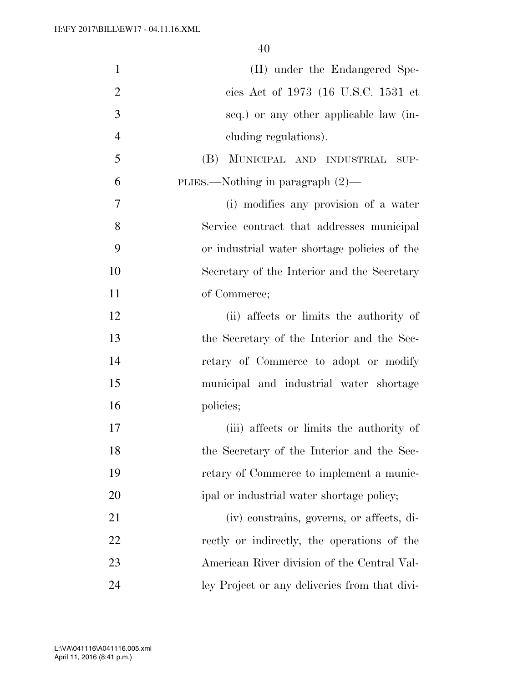| $\mathbf{1}$   | (II) under the Endangered Spe-                |
|----------------|-----------------------------------------------|
| $\overline{2}$ | cies Act of 1973 (16 U.S.C. 1531 et           |
| 3              | seq.) or any other applicable law (in-        |
| $\overline{4}$ | cluding regulations).                         |
| 5              | (B) MUNICIPAL AND INDUSTRIAL SUP-             |
| 6              | PLIES.—Nothing in paragraph (2)—              |
| 7              | (i) modifies any provision of a water         |
| 8              | Service contract that addresses municipal     |
| 9              | or industrial water shortage policies of the  |
| 10             | Secretary of the Interior and the Secretary   |
| 11             | of Commerce;                                  |
| 12             | (ii) affects or limits the authority of       |
| 13             | the Secretary of the Interior and the Sec-    |
| 14             | retary of Commerce to adopt or modify         |
| 15             | municipal and industrial water shortage       |
| 16             | policies;                                     |
| 17             | (iii) affects or limits the authority of      |
| 18             | the Secretary of the Interior and the Sec-    |
| 19             | retary of Commerce to implement a munic-      |
| 20             | ipal or industrial water shortage policy;     |
| 21             | (iv) constrains, governs, or affects, di-     |
| 22             | rectly or indirectly, the operations of the   |
| 23             | American River division of the Central Val-   |
| 24             | ley Project or any deliveries from that divi- |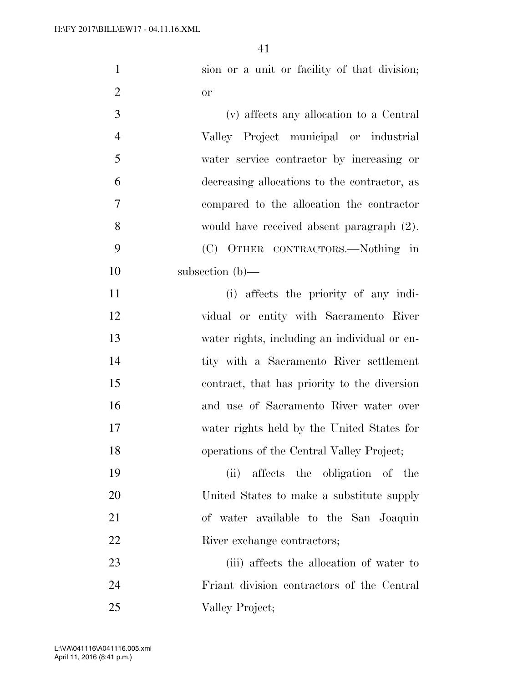| $\mathbf{1}$   | sion or a unit or facility of that division; |
|----------------|----------------------------------------------|
| $\overline{2}$ | or                                           |
| 3              | (v) affects any allocation to a Central      |
| $\overline{4}$ | Valley Project municipal or industrial       |
| 5              | water service contractor by increasing or    |
| 6              | decreasing allocations to the contractor, as |
| 7              | compared to the allocation the contractor    |
| 8              | would have received absent paragraph (2).    |
| 9              | (C) OTHER CONTRACTORS.—Nothing in            |
| 10             | subsection $(b)$ —                           |
| 11             | (i) affects the priority of any indi-        |
| 12             | vidual or entity with Sacramento River       |
| 13             | water rights, including an individual or en- |
| 14             | tity with a Sacramento River settlement      |
| 15             | contract, that has priority to the diversion |
| 16             | and use of Sacramento River water over       |
| 17             | water rights held by the United States for   |
| 18             | operations of the Central Valley Project;    |
| 19             | affects the obligation of the<br>(ii)        |
| 20             | United States to make a substitute supply    |
| 21             | of water available to the San Joaquin        |
| 22             | River exchange contractors;                  |
| 23             | (iii) affects the allocation of water to     |
| 24             | Friant division contractors of the Central   |
| 25             | Valley Project;                              |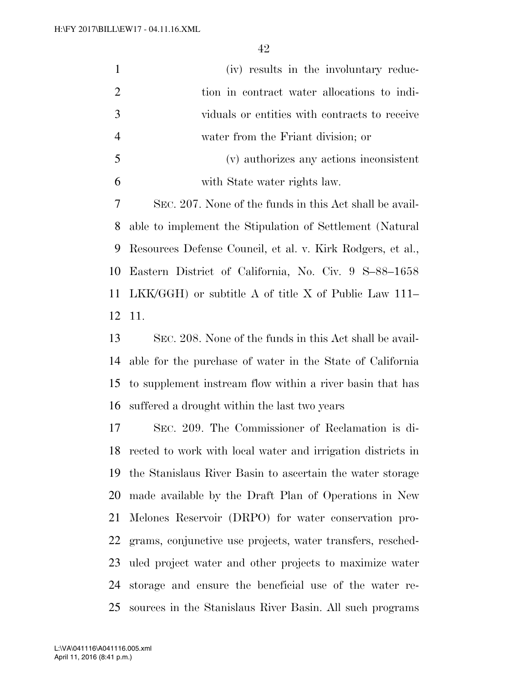| $\mathbf{1}$   | (iv) results in the involuntary reduc-                         |
|----------------|----------------------------------------------------------------|
| $\overline{2}$ | tion in contract water allocations to indi-                    |
| $\mathfrak{Z}$ | viduals or entities with contracts to receive                  |
| $\overline{4}$ | water from the Friant division; or                             |
| 5              | (v) authorizes any actions inconsistent                        |
| 6              | with State water rights law.                                   |
| 7              | SEC. 207. None of the funds in this Act shall be avail-        |
| 8              | able to implement the Stipulation of Settlement (Natural       |
| 9              | Resources Defense Council, et al. v. Kirk Rodgers, et al.,     |
| 10             | Eastern District of California, No. Civ. 9 S-88-1658           |
| 11             | $LKK/GGH$ or subtitle A of title X of Public Law 111–          |
| 12             | 11.                                                            |
| 13             | SEC. 208. None of the funds in this Act shall be avail-        |
| 14             | able for the purchase of water in the State of California      |
| 15             | to supplement instream flow within a river basin that has      |
| 16             | suffered a drought within the last two years                   |
| 17             | SEC. 209. The Commissioner of Reclamation is di-               |
|                | 18 rected to work with local water and irrigation districts in |
| 19             | the Stanislaus River Basin to ascertain the water storage      |
| 20             | made available by the Draft Plan of Operations in New          |
| 21             | Melones Reservoir (DRPO) for water conservation pro-           |
| 22             | grams, conjunctive use projects, water transfers, resched-     |
| 23             | uled project water and other projects to maximize water        |
| 24             | storage and ensure the beneficial use of the water re-         |
| 25             | sources in the Stanislaus River Basin. All such programs       |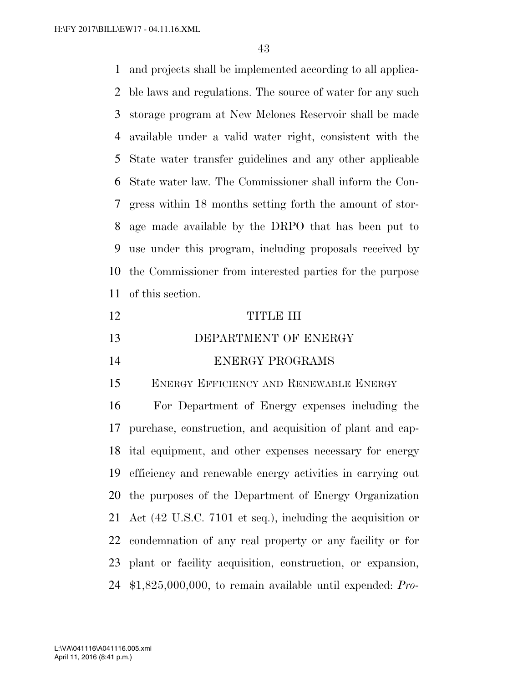and projects shall be implemented according to all applica- ble laws and regulations. The source of water for any such storage program at New Melones Reservoir shall be made available under a valid water right, consistent with the State water transfer guidelines and any other applicable State water law. The Commissioner shall inform the Con- gress within 18 months setting forth the amount of stor- age made available by the DRPO that has been put to use under this program, including proposals received by the Commissioner from interested parties for the purpose of this section.

 TITLE III 13 DEPARTMENT OF ENERGY

### ENERGY PROGRAMS

ENERGY EFFICIENCY AND RENEWABLE ENERGY

 For Department of Energy expenses including the purchase, construction, and acquisition of plant and cap- ital equipment, and other expenses necessary for energy efficiency and renewable energy activities in carrying out the purposes of the Department of Energy Organization Act (42 U.S.C. 7101 et seq.), including the acquisition or condemnation of any real property or any facility or for plant or facility acquisition, construction, or expansion, \$1,825,000,000, to remain available until expended: *Pro-*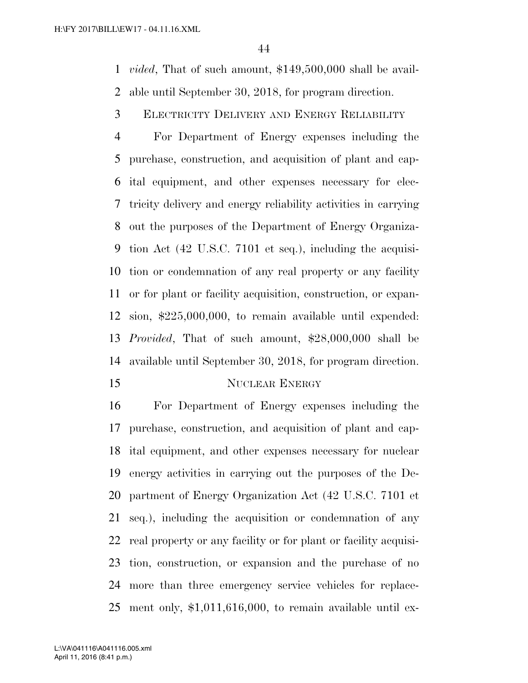*vided*, That of such amount, \$149,500,000 shall be avail-able until September 30, 2018, for program direction.

ELECTRICITY DELIVERY AND ENERGY RELIABILITY

 For Department of Energy expenses including the purchase, construction, and acquisition of plant and cap- ital equipment, and other expenses necessary for elec- tricity delivery and energy reliability activities in carrying out the purposes of the Department of Energy Organiza- tion Act (42 U.S.C. 7101 et seq.), including the acquisi- tion or condemnation of any real property or any facility or for plant or facility acquisition, construction, or expan- sion, \$225,000,000, to remain available until expended: *Provided*, That of such amount, \$28,000,000 shall be available until September 30, 2018, for program direction.

### 15 NUCLEAR ENERGY

 For Department of Energy expenses including the purchase, construction, and acquisition of plant and cap- ital equipment, and other expenses necessary for nuclear energy activities in carrying out the purposes of the De- partment of Energy Organization Act (42 U.S.C. 7101 et seq.), including the acquisition or condemnation of any real property or any facility or for plant or facility acquisi- tion, construction, or expansion and the purchase of no more than three emergency service vehicles for replace-ment only, \$1,011,616,000, to remain available until ex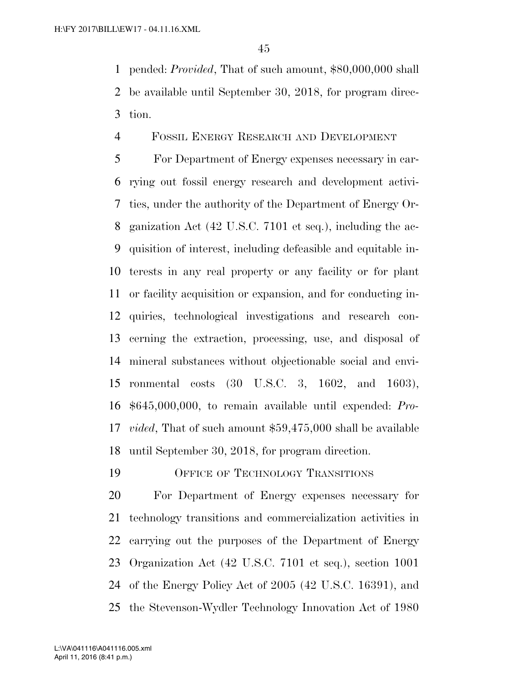pended: *Provided*, That of such amount, \$80,000,000 shall be available until September 30, 2018, for program direc-tion.

FOSSIL ENERGY RESEARCH AND DEVELOPMENT

 For Department of Energy expenses necessary in car- rying out fossil energy research and development activi- ties, under the authority of the Department of Energy Or- ganization Act (42 U.S.C. 7101 et seq.), including the ac- quisition of interest, including defeasible and equitable in- terests in any real property or any facility or for plant or facility acquisition or expansion, and for conducting in- quiries, technological investigations and research con- cerning the extraction, processing, use, and disposal of mineral substances without objectionable social and envi- ronmental costs (30 U.S.C. 3, 1602, and 1603), \$645,000,000, to remain available until expended: *Pro- vided*, That of such amount \$59,475,000 shall be available until September 30, 2018, for program direction.

OFFICE OF TECHNOLOGY TRANSITIONS

 For Department of Energy expenses necessary for technology transitions and commercialization activities in carrying out the purposes of the Department of Energy Organization Act (42 U.S.C. 7101 et seq.), section 1001 of the Energy Policy Act of 2005 (42 U.S.C. 16391), and the Stevenson-Wydler Technology Innovation Act of 1980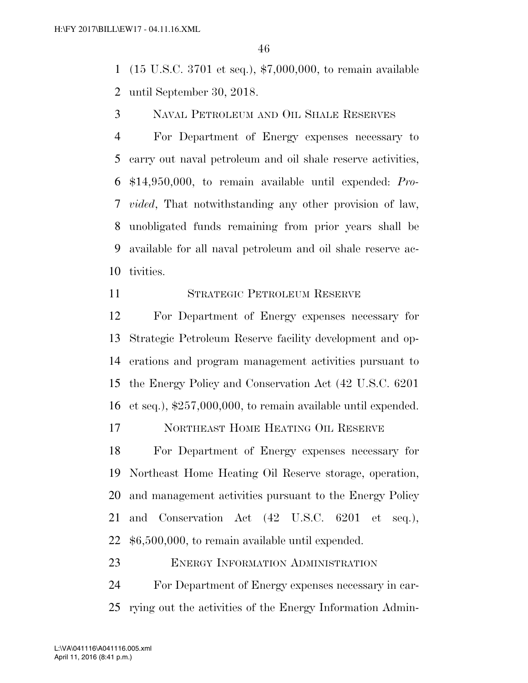(15 U.S.C. 3701 et seq.), \$7,000,000, to remain available until September 30, 2018.

NAVAL PETROLEUM AND OIL SHALE RESERVES

 For Department of Energy expenses necessary to carry out naval petroleum and oil shale reserve activities, \$14,950,000, to remain available until expended: *Pro- vided*, That notwithstanding any other provision of law, unobligated funds remaining from prior years shall be available for all naval petroleum and oil shale reserve ac-tivities.

STRATEGIC PETROLEUM RESERVE

 For Department of Energy expenses necessary for Strategic Petroleum Reserve facility development and op- erations and program management activities pursuant to the Energy Policy and Conservation Act (42 U.S.C. 6201 et seq.), \$257,000,000, to remain available until expended.

17 NORTHEAST HOME HEATING OIL RESERVE

 For Department of Energy expenses necessary for Northeast Home Heating Oil Reserve storage, operation, and management activities pursuant to the Energy Policy and Conservation Act (42 U.S.C. 6201 et seq.), \$6,500,000, to remain available until expended.

ENERGY INFORMATION ADMINISTRATION

 For Department of Energy expenses necessary in car-rying out the activities of the Energy Information Admin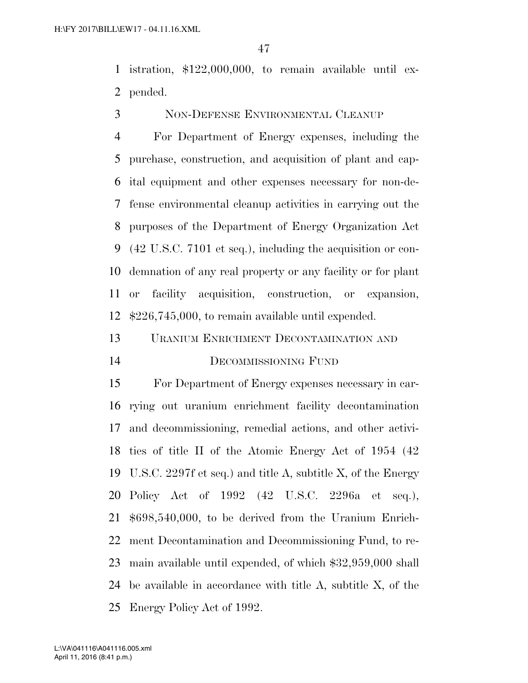istration, \$122,000,000, to remain available until ex-pended.

NON-DEFENSE ENVIRONMENTAL CLEANUP

 For Department of Energy expenses, including the purchase, construction, and acquisition of plant and cap- ital equipment and other expenses necessary for non-de- fense environmental cleanup activities in carrying out the purposes of the Department of Energy Organization Act (42 U.S.C. 7101 et seq.), including the acquisition or con- demnation of any real property or any facility or for plant or facility acquisition, construction, or expansion, \$226,745,000, to remain available until expended.

 URANIUM ENRICHMENT DECONTAMINATION AND DECOMMISSIONING FUND

 For Department of Energy expenses necessary in car- rying out uranium enrichment facility decontamination and decommissioning, remedial actions, and other activi- ties of title II of the Atomic Energy Act of 1954 (42 U.S.C. 2297f et seq.) and title A, subtitle X, of the Energy Policy Act of 1992 (42 U.S.C. 2296a et seq.), \$698,540,000, to be derived from the Uranium Enrich- ment Decontamination and Decommissioning Fund, to re- main available until expended, of which \$32,959,000 shall be available in accordance with title A, subtitle X, of the Energy Policy Act of 1992.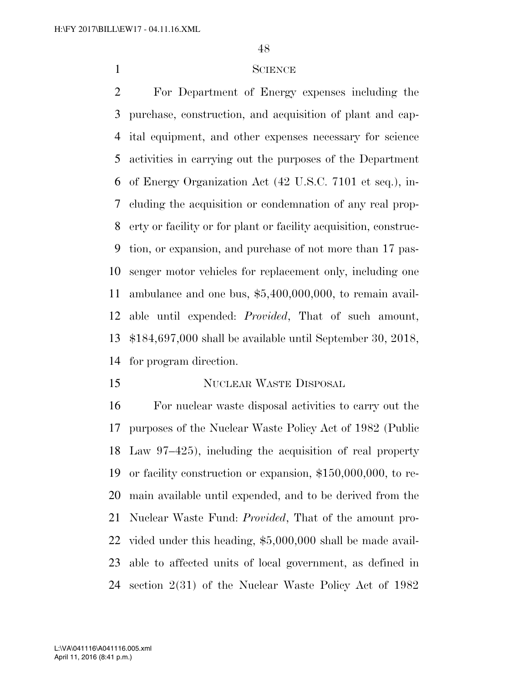### 1 SCIENCE

 For Department of Energy expenses including the purchase, construction, and acquisition of plant and cap- ital equipment, and other expenses necessary for science activities in carrying out the purposes of the Department of Energy Organization Act (42 U.S.C. 7101 et seq.), in- cluding the acquisition or condemnation of any real prop- erty or facility or for plant or facility acquisition, construc- tion, or expansion, and purchase of not more than 17 pas- senger motor vehicles for replacement only, including one ambulance and one bus, \$5,400,000,000, to remain avail- able until expended: *Provided*, That of such amount, \$184,697,000 shall be available until September 30, 2018, for program direction.

NUCLEAR WASTE DISPOSAL

 For nuclear waste disposal activities to carry out the purposes of the Nuclear Waste Policy Act of 1982 (Public Law 97–425), including the acquisition of real property or facility construction or expansion, \$150,000,000, to re- main available until expended, and to be derived from the Nuclear Waste Fund: *Provided*, That of the amount pro- vided under this heading, \$5,000,000 shall be made avail- able to affected units of local government, as defined in section 2(31) of the Nuclear Waste Policy Act of 1982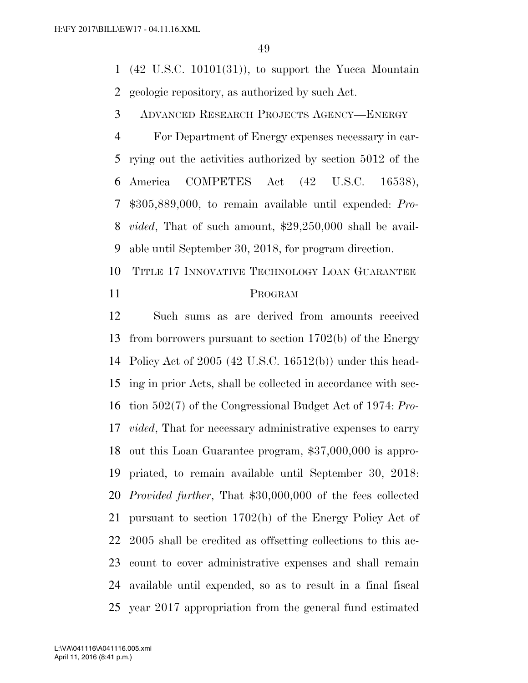(42 U.S.C. 10101(31)), to support the Yucca Mountain geologic repository, as authorized by such Act.

ADVANCED RESEARCH PROJECTS AGENCY—ENERGY

 For Department of Energy expenses necessary in car- rying out the activities authorized by section 5012 of the America COMPETES Act (42 U.S.C. 16538), \$305,889,000, to remain available until expended: *Pro- vided*, That of such amount, \$29,250,000 shall be avail-able until September 30, 2018, for program direction.

 TITLE 17 INNOVATIVE TECHNOLOGY LOAN GUARANTEE PROGRAM

 Such sums as are derived from amounts received from borrowers pursuant to section 1702(b) of the Energy Policy Act of 2005 (42 U.S.C. 16512(b)) under this head- ing in prior Acts, shall be collected in accordance with sec- tion 502(7) of the Congressional Budget Act of 1974: *Pro- vided*, That for necessary administrative expenses to carry out this Loan Guarantee program, \$37,000,000 is appro- priated, to remain available until September 30, 2018: *Provided further*, That \$30,000,000 of the fees collected pursuant to section 1702(h) of the Energy Policy Act of 2005 shall be credited as offsetting collections to this ac- count to cover administrative expenses and shall remain available until expended, so as to result in a final fiscal year 2017 appropriation from the general fund estimated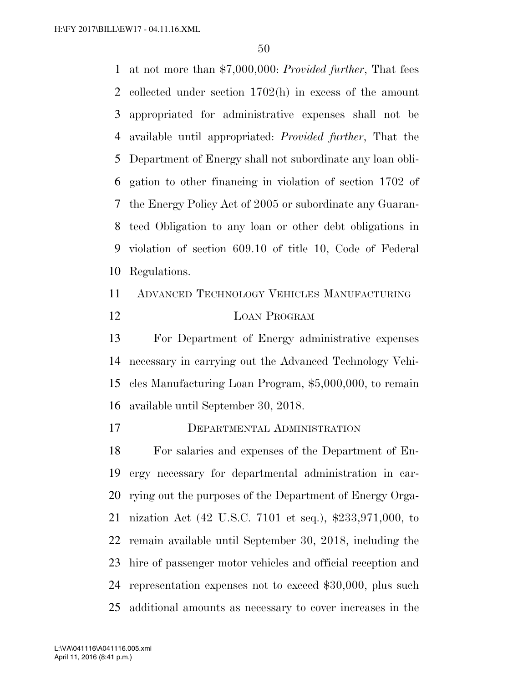at not more than \$7,000,000: *Provided further*, That fees collected under section 1702(h) in excess of the amount appropriated for administrative expenses shall not be available until appropriated: *Provided further*, That the Department of Energy shall not subordinate any loan obli- gation to other financing in violation of section 1702 of the Energy Policy Act of 2005 or subordinate any Guaran- teed Obligation to any loan or other debt obligations in violation of section 609.10 of title 10, Code of Federal Regulations.

## ADVANCED TECHNOLOGY VEHICLES MANUFACTURING LOAN PROGRAM

 For Department of Energy administrative expenses necessary in carrying out the Advanced Technology Vehi- cles Manufacturing Loan Program, \$5,000,000, to remain available until September 30, 2018.

### DEPARTMENTAL ADMINISTRATION

 For salaries and expenses of the Department of En- ergy necessary for departmental administration in car- rying out the purposes of the Department of Energy Orga- nization Act (42 U.S.C. 7101 et seq.), \$233,971,000, to remain available until September 30, 2018, including the hire of passenger motor vehicles and official reception and representation expenses not to exceed \$30,000, plus such additional amounts as necessary to cover increases in the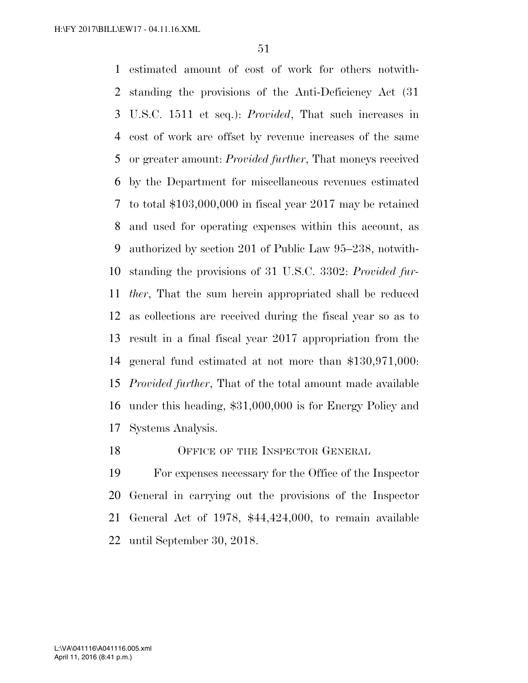estimated amount of cost of work for others notwith- standing the provisions of the Anti-Deficiency Act (31 U.S.C. 1511 et seq.): *Provided*, That such increases in cost of work are offset by revenue increases of the same or greater amount: *Provided further*, That moneys received by the Department for miscellaneous revenues estimated to total \$103,000,000 in fiscal year 2017 may be retained and used for operating expenses within this account, as authorized by section 201 of Public Law 95–238, notwith- standing the provisions of 31 U.S.C. 3302: *Provided fur- ther*, That the sum herein appropriated shall be reduced as collections are received during the fiscal year so as to result in a final fiscal year 2017 appropriation from the general fund estimated at not more than \$130,971,000: *Provided further*, That of the total amount made available under this heading, \$31,000,000 is for Energy Policy and Systems Analysis.

18 OFFICE OF THE INSPECTOR GENERAL

 For expenses necessary for the Office of the Inspector General in carrying out the provisions of the Inspector General Act of 1978, \$44,424,000, to remain available until September 30, 2018.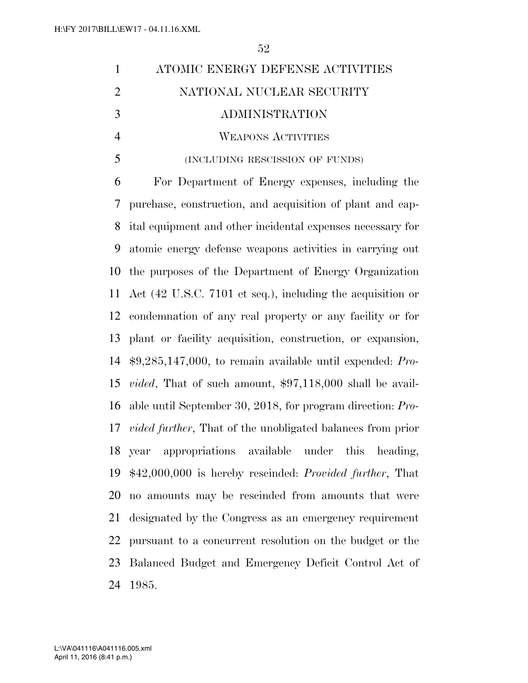# ATOMIC ENERGY DEFENSE ACTIVITIES NATIONAL NUCLEAR SECURITY ADMINISTRATION WEAPONS ACTIVITIES (INCLUDING RESCISSION OF FUNDS) For Department of Energy expenses, including the

 purchase, construction, and acquisition of plant and cap- ital equipment and other incidental expenses necessary for atomic energy defense weapons activities in carrying out the purposes of the Department of Energy Organization Act (42 U.S.C. 7101 et seq.), including the acquisition or condemnation of any real property or any facility or for plant or facility acquisition, construction, or expansion, \$9,285,147,000, to remain available until expended: *Pro- vided*, That of such amount, \$97,118,000 shall be avail- able until September 30, 2018, for program direction: *Pro- vided further*, That of the unobligated balances from prior year appropriations available under this heading, \$42,000,000 is hereby rescinded: *Provided further*, That no amounts may be rescinded from amounts that were designated by the Congress as an emergency requirement pursuant to a concurrent resolution on the budget or the Balanced Budget and Emergency Deficit Control Act of 1985.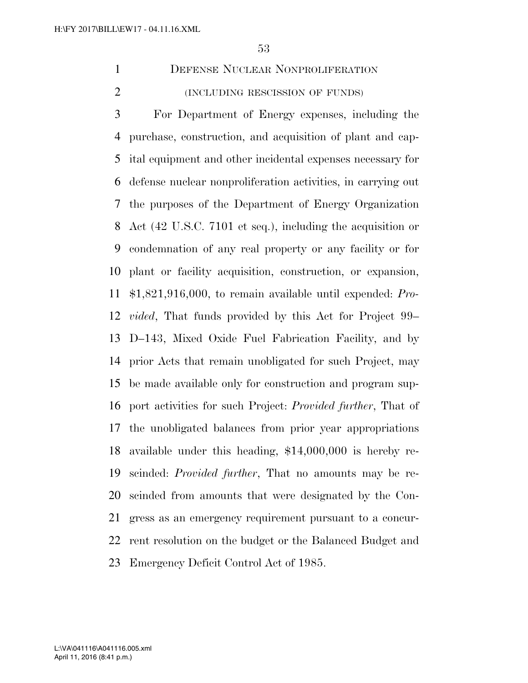# DEFENSE NUCLEAR NONPROLIFERATION (INCLUDING RESCISSION OF FUNDS)

 For Department of Energy expenses, including the purchase, construction, and acquisition of plant and cap- ital equipment and other incidental expenses necessary for defense nuclear nonproliferation activities, in carrying out the purposes of the Department of Energy Organization Act (42 U.S.C. 7101 et seq.), including the acquisition or condemnation of any real property or any facility or for plant or facility acquisition, construction, or expansion, \$1,821,916,000, to remain available until expended: *Pro- vided*, That funds provided by this Act for Project 99– D–143, Mixed Oxide Fuel Fabrication Facility, and by prior Acts that remain unobligated for such Project, may be made available only for construction and program sup- port activities for such Project: *Provided further*, That of the unobligated balances from prior year appropriations available under this heading, \$14,000,000 is hereby re- scinded: *Provided further*, That no amounts may be re- scinded from amounts that were designated by the Con- gress as an emergency requirement pursuant to a concur- rent resolution on the budget or the Balanced Budget and Emergency Deficit Control Act of 1985.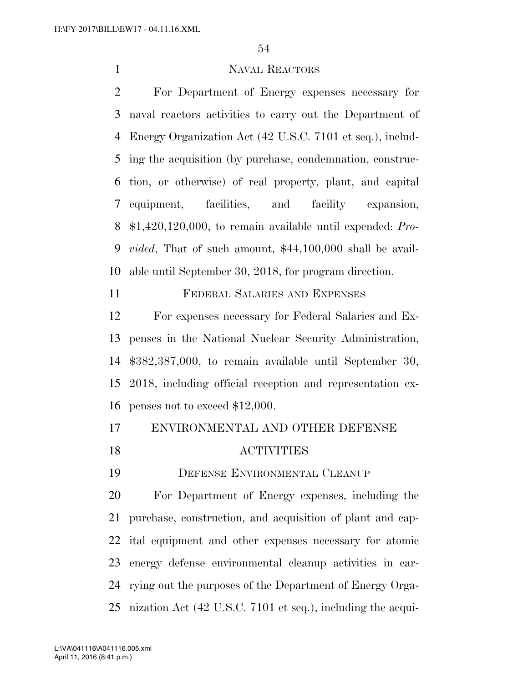### NAVAL REACTORS

 For Department of Energy expenses necessary for naval reactors activities to carry out the Department of Energy Organization Act (42 U.S.C. 7101 et seq.), includ- ing the acquisition (by purchase, condemnation, construc- tion, or otherwise) of real property, plant, and capital equipment, facilities, and facility expansion, \$1,420,120,000, to remain available until expended: *Pro- vided*, That of such amount, \$44,100,000 shall be avail-able until September 30, 2018, for program direction.

FEDERAL SALARIES AND EXPENSES

 For expenses necessary for Federal Salaries and Ex- penses in the National Nuclear Security Administration, \$382,387,000, to remain available until September 30, 2018, including official reception and representation ex-penses not to exceed \$12,000.

### ENVIRONMENTAL AND OTHER DEFENSE

ACTIVITIES

# DEFENSE ENVIRONMENTAL CLEANUP

 For Department of Energy expenses, including the purchase, construction, and acquisition of plant and cap- ital equipment and other expenses necessary for atomic energy defense environmental cleanup activities in car- rying out the purposes of the Department of Energy Orga-nization Act (42 U.S.C. 7101 et seq.), including the acqui-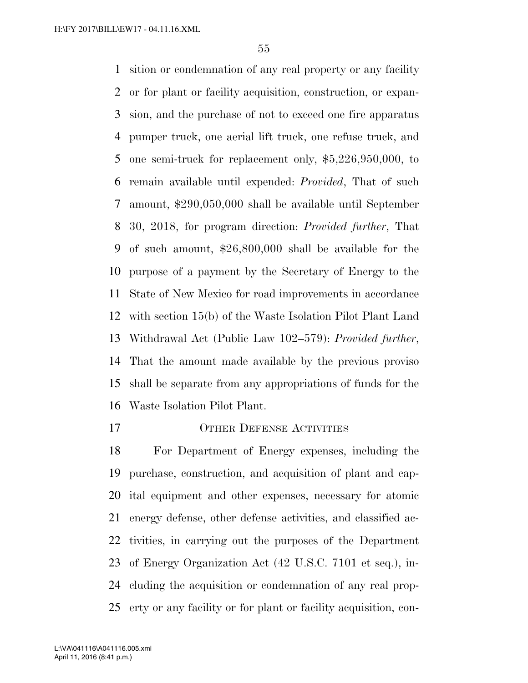sition or condemnation of any real property or any facility or for plant or facility acquisition, construction, or expan- sion, and the purchase of not to exceed one fire apparatus pumper truck, one aerial lift truck, one refuse truck, and one semi-truck for replacement only, \$5,226,950,000, to remain available until expended: *Provided*, That of such amount, \$290,050,000 shall be available until September 30, 2018, for program direction: *Provided further*, That of such amount, \$26,800,000 shall be available for the purpose of a payment by the Secretary of Energy to the State of New Mexico for road improvements in accordance with section 15(b) of the Waste Isolation Pilot Plant Land Withdrawal Act (Public Law 102–579): *Provided further*, That the amount made available by the previous proviso shall be separate from any appropriations of funds for the Waste Isolation Pilot Plant.

OTHER DEFENSE ACTIVITIES

 For Department of Energy expenses, including the purchase, construction, and acquisition of plant and cap- ital equipment and other expenses, necessary for atomic energy defense, other defense activities, and classified ac- tivities, in carrying out the purposes of the Department of Energy Organization Act (42 U.S.C. 7101 et seq.), in- cluding the acquisition or condemnation of any real prop-erty or any facility or for plant or facility acquisition, con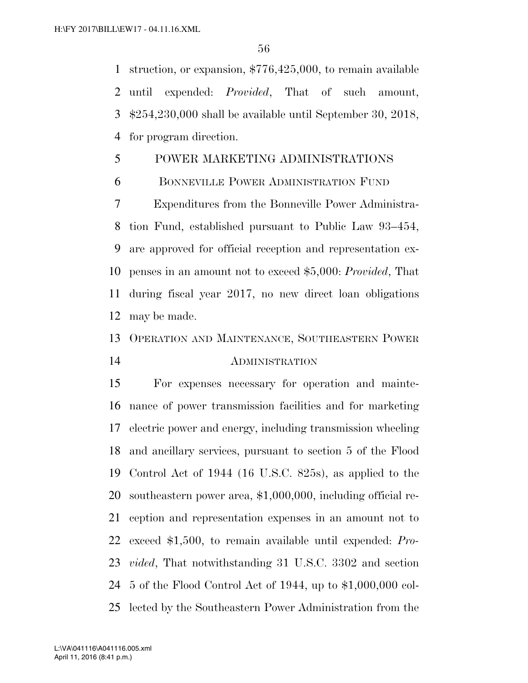struction, or expansion, \$776,425,000, to remain available until expended: *Provided*, That of such amount, \$254,230,000 shall be available until September 30, 2018, for program direction.

### POWER MARKETING ADMINISTRATIONS

BONNEVILLE POWER ADMINISTRATION FUND

 Expenditures from the Bonneville Power Administra- tion Fund, established pursuant to Public Law 93–454, are approved for official reception and representation ex- penses in an amount not to exceed \$5,000: *Provided*, That during fiscal year 2017, no new direct loan obligations may be made.

 OPERATION AND MAINTENANCE, SOUTHEASTERN POWER ADMINISTRATION

 For expenses necessary for operation and mainte- nance of power transmission facilities and for marketing electric power and energy, including transmission wheeling and ancillary services, pursuant to section 5 of the Flood Control Act of 1944 (16 U.S.C. 825s), as applied to the southeastern power area, \$1,000,000, including official re- ception and representation expenses in an amount not to exceed \$1,500, to remain available until expended: *Pro- vided*, That notwithstanding 31 U.S.C. 3302 and section 5 of the Flood Control Act of 1944, up to \$1,000,000 col-lected by the Southeastern Power Administration from the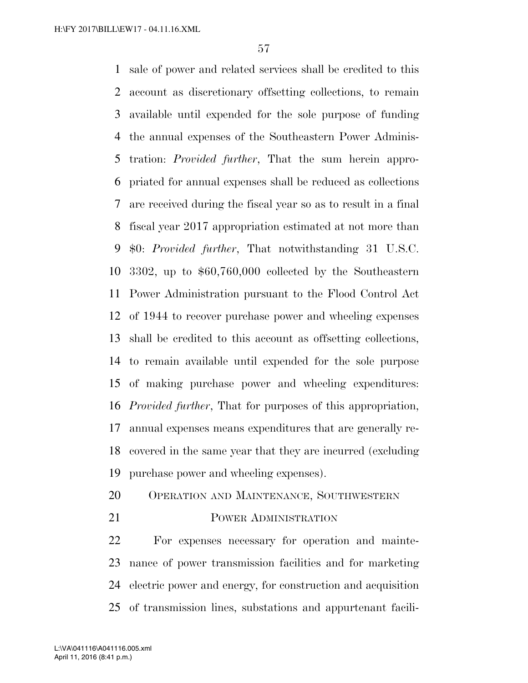sale of power and related services shall be credited to this account as discretionary offsetting collections, to remain available until expended for the sole purpose of funding the annual expenses of the Southeastern Power Adminis- tration: *Provided further*, That the sum herein appro- priated for annual expenses shall be reduced as collections are received during the fiscal year so as to result in a final fiscal year 2017 appropriation estimated at not more than \$0: *Provided further*, That notwithstanding 31 U.S.C. 3302, up to \$60,760,000 collected by the Southeastern Power Administration pursuant to the Flood Control Act of 1944 to recover purchase power and wheeling expenses shall be credited to this account as offsetting collections, to remain available until expended for the sole purpose of making purchase power and wheeling expenditures: *Provided further*, That for purposes of this appropriation, annual expenses means expenditures that are generally re- covered in the same year that they are incurred (excluding purchase power and wheeling expenses).

- OPERATION AND MAINTENANCE, SOUTHWESTERN
- 21 POWER ADMINISTRATION

 For expenses necessary for operation and mainte- nance of power transmission facilities and for marketing electric power and energy, for construction and acquisition of transmission lines, substations and appurtenant facili-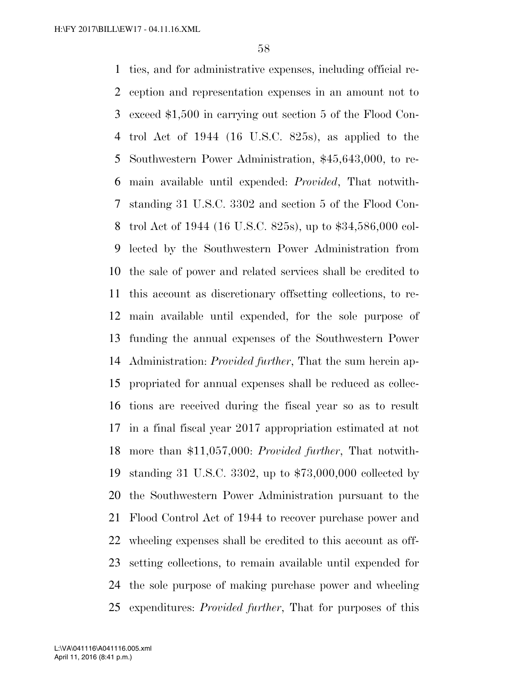ties, and for administrative expenses, including official re- ception and representation expenses in an amount not to exceed \$1,500 in carrying out section 5 of the Flood Con- trol Act of 1944 (16 U.S.C. 825s), as applied to the Southwestern Power Administration, \$45,643,000, to re- main available until expended: *Provided*, That notwith- standing 31 U.S.C. 3302 and section 5 of the Flood Con- trol Act of 1944 (16 U.S.C. 825s), up to \$34,586,000 col- lected by the Southwestern Power Administration from the sale of power and related services shall be credited to this account as discretionary offsetting collections, to re- main available until expended, for the sole purpose of funding the annual expenses of the Southwestern Power Administration: *Provided further*, That the sum herein ap- propriated for annual expenses shall be reduced as collec- tions are received during the fiscal year so as to result in a final fiscal year 2017 appropriation estimated at not more than \$11,057,000: *Provided further*, That notwith- standing 31 U.S.C. 3302, up to \$73,000,000 collected by the Southwestern Power Administration pursuant to the Flood Control Act of 1944 to recover purchase power and wheeling expenses shall be credited to this account as off- setting collections, to remain available until expended for the sole purpose of making purchase power and wheeling expenditures: *Provided further*, That for purposes of this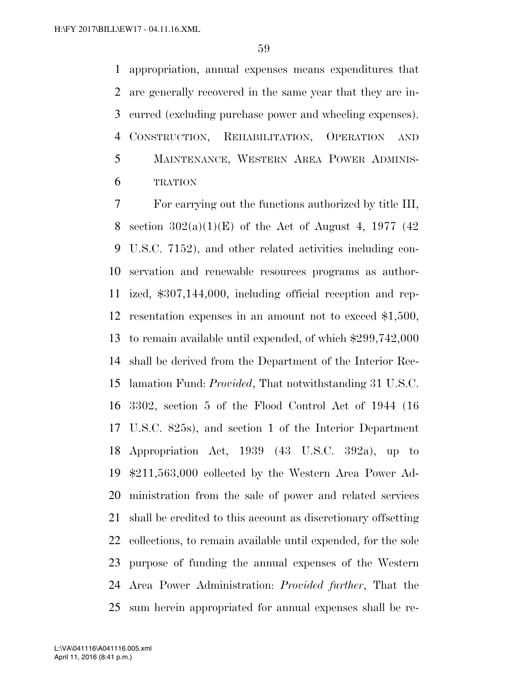appropriation, annual expenses means expenditures that are generally recovered in the same year that they are in- curred (excluding purchase power and wheeling expenses). CONSTRUCTION, REHABILITATION, OPERATION AND MAINTENANCE, WESTERN AREA POWER ADMINIS-TRATION

 For carrying out the functions authorized by title III, 8 section  $302(a)(1)(E)$  of the Act of August 4, 1977 (42) U.S.C. 7152), and other related activities including con- servation and renewable resources programs as author- ized, \$307,144,000, including official reception and rep- resentation expenses in an amount not to exceed \$1,500, to remain available until expended, of which \$299,742,000 shall be derived from the Department of the Interior Rec- lamation Fund: *Provided*, That notwithstanding 31 U.S.C. 3302, section 5 of the Flood Control Act of 1944 (16 U.S.C. 825s), and section 1 of the Interior Department Appropriation Act, 1939 (43 U.S.C. 392a), up to \$211,563,000 collected by the Western Area Power Ad- ministration from the sale of power and related services shall be credited to this account as discretionary offsetting collections, to remain available until expended, for the sole purpose of funding the annual expenses of the Western Area Power Administration: *Provided further*, That the sum herein appropriated for annual expenses shall be re-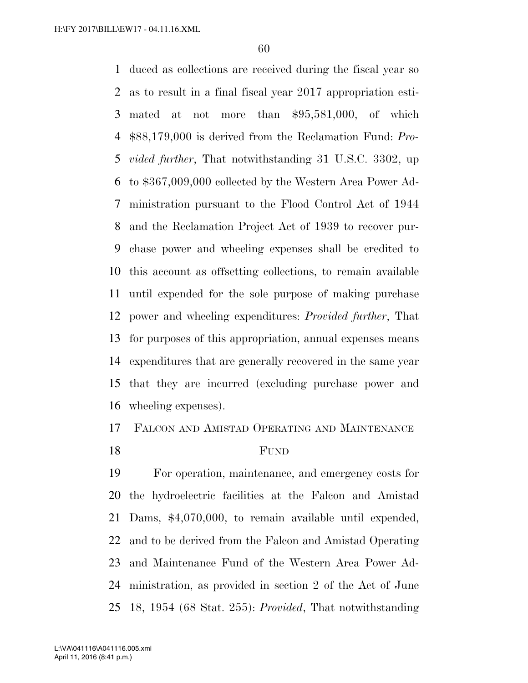duced as collections are received during the fiscal year so as to result in a final fiscal year 2017 appropriation esti- mated at not more than \$95,581,000, of which \$88,179,000 is derived from the Reclamation Fund: *Pro- vided further*, That notwithstanding 31 U.S.C. 3302, up to \$367,009,000 collected by the Western Area Power Ad- ministration pursuant to the Flood Control Act of 1944 and the Reclamation Project Act of 1939 to recover pur- chase power and wheeling expenses shall be credited to this account as offsetting collections, to remain available until expended for the sole purpose of making purchase power and wheeling expenditures: *Provided further*, That for purposes of this appropriation, annual expenses means expenditures that are generally recovered in the same year that they are incurred (excluding purchase power and wheeling expenses).

### FALCON AND AMISTAD OPERATING AND MAINTENANCE

#### FUND

 For operation, maintenance, and emergency costs for the hydroelectric facilities at the Falcon and Amistad Dams, \$4,070,000, to remain available until expended, and to be derived from the Falcon and Amistad Operating and Maintenance Fund of the Western Area Power Ad- ministration, as provided in section 2 of the Act of June 18, 1954 (68 Stat. 255): *Provided*, That notwithstanding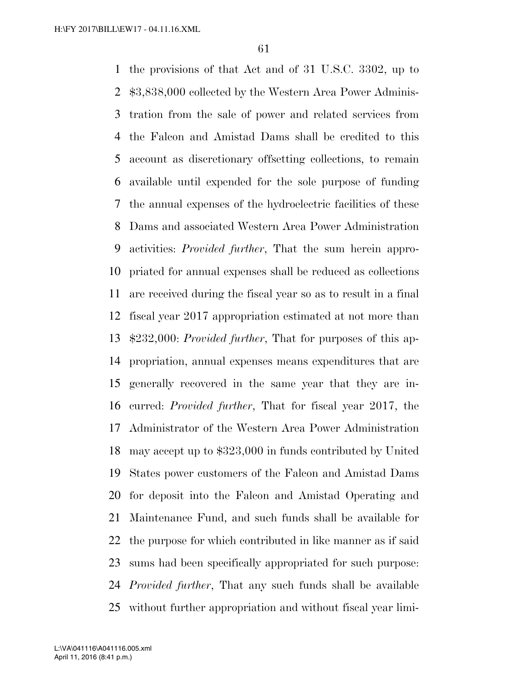the provisions of that Act and of 31 U.S.C. 3302, up to \$3,838,000 collected by the Western Area Power Adminis- tration from the sale of power and related services from the Falcon and Amistad Dams shall be credited to this account as discretionary offsetting collections, to remain available until expended for the sole purpose of funding the annual expenses of the hydroelectric facilities of these Dams and associated Western Area Power Administration activities: *Provided further*, That the sum herein appro- priated for annual expenses shall be reduced as collections are received during the fiscal year so as to result in a final fiscal year 2017 appropriation estimated at not more than \$232,000: *Provided further*, That for purposes of this ap- propriation, annual expenses means expenditures that are generally recovered in the same year that they are in- curred: *Provided further*, That for fiscal year 2017, the Administrator of the Western Area Power Administration may accept up to \$323,000 in funds contributed by United States power customers of the Falcon and Amistad Dams for deposit into the Falcon and Amistad Operating and Maintenance Fund, and such funds shall be available for the purpose for which contributed in like manner as if said sums had been specifically appropriated for such purpose: *Provided further*, That any such funds shall be available without further appropriation and without fiscal year limi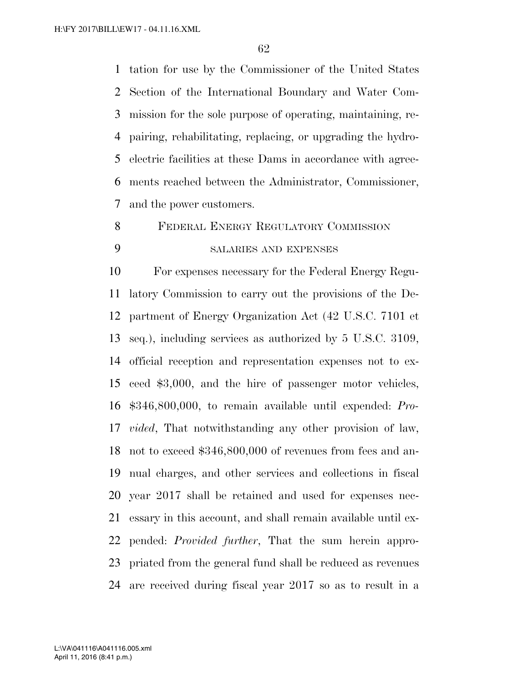tation for use by the Commissioner of the United States Section of the International Boundary and Water Com- mission for the sole purpose of operating, maintaining, re- pairing, rehabilitating, replacing, or upgrading the hydro- electric facilities at these Dams in accordance with agree- ments reached between the Administrator, Commissioner, and the power customers.

FEDERAL ENERGY REGULATORY COMMISSION

### SALARIES AND EXPENSES

 For expenses necessary for the Federal Energy Regu- latory Commission to carry out the provisions of the De- partment of Energy Organization Act (42 U.S.C. 7101 et seq.), including services as authorized by 5 U.S.C. 3109, official reception and representation expenses not to ex- ceed \$3,000, and the hire of passenger motor vehicles, \$346,800,000, to remain available until expended: *Pro- vided*, That notwithstanding any other provision of law, not to exceed \$346,800,000 of revenues from fees and an- nual charges, and other services and collections in fiscal year 2017 shall be retained and used for expenses nec- essary in this account, and shall remain available until ex- pended: *Provided further*, That the sum herein appro- priated from the general fund shall be reduced as revenues are received during fiscal year 2017 so as to result in a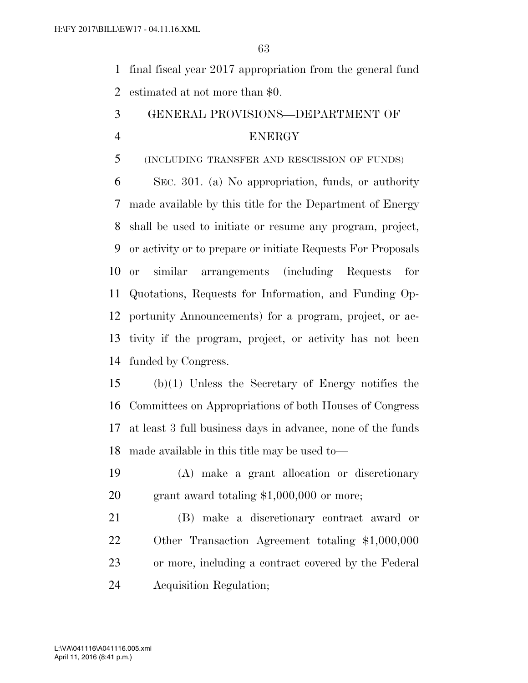final fiscal year 2017 appropriation from the general fund estimated at not more than \$0.

# GENERAL PROVISIONS—DEPARTMENT OF ENERGY

(INCLUDING TRANSFER AND RESCISSION OF FUNDS)

 SEC. 301. (a) No appropriation, funds, or authority made available by this title for the Department of Energy shall be used to initiate or resume any program, project, or activity or to prepare or initiate Requests For Proposals or similar arrangements (including Requests for Quotations, Requests for Information, and Funding Op- portunity Announcements) for a program, project, or ac- tivity if the program, project, or activity has not been funded by Congress.

 (b)(1) Unless the Secretary of Energy notifies the Committees on Appropriations of both Houses of Congress at least 3 full business days in advance, none of the funds made available in this title may be used to—

 (A) make a grant allocation or discretionary grant award totaling \$1,000,000 or more;

 (B) make a discretionary contract award or Other Transaction Agreement totaling \$1,000,000 or more, including a contract covered by the Federal Acquisition Regulation;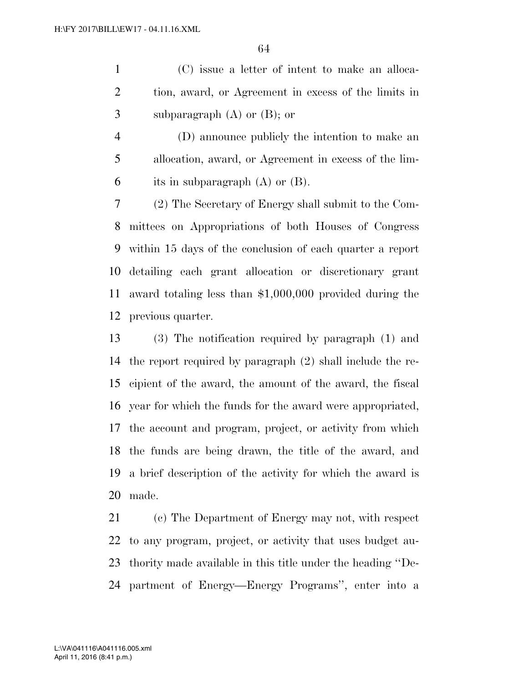(C) issue a letter of intent to make an alloca- tion, award, or Agreement in excess of the limits in subparagraph (A) or (B); or

 (D) announce publicly the intention to make an allocation, award, or Agreement in excess of the lim-6 its in subparagraph  $(A)$  or  $(B)$ .

 (2) The Secretary of Energy shall submit to the Com- mittees on Appropriations of both Houses of Congress within 15 days of the conclusion of each quarter a report detailing each grant allocation or discretionary grant award totaling less than \$1,000,000 provided during the previous quarter.

 (3) The notification required by paragraph (1) and the report required by paragraph (2) shall include the re- cipient of the award, the amount of the award, the fiscal year for which the funds for the award were appropriated, the account and program, project, or activity from which the funds are being drawn, the title of the award, and a brief description of the activity for which the award is made.

 (c) The Department of Energy may not, with respect to any program, project, or activity that uses budget au- thority made available in this title under the heading ''De-partment of Energy—Energy Programs'', enter into a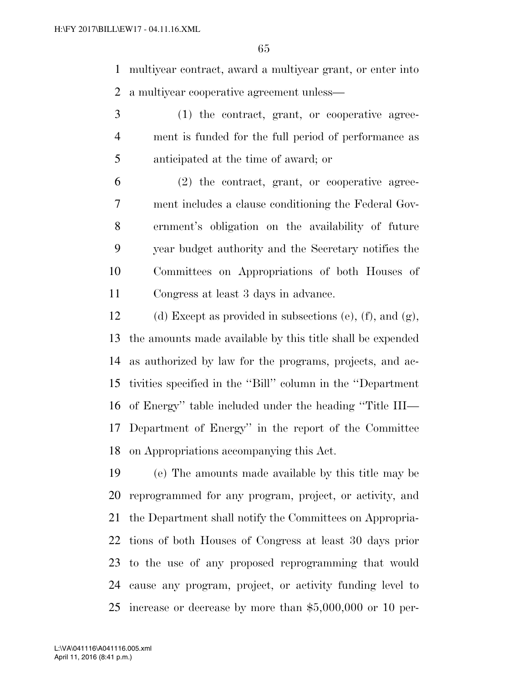multiyear contract, award a multiyear grant, or enter into a multiyear cooperative agreement unless—

 (1) the contract, grant, or cooperative agree- ment is funded for the full period of performance as anticipated at the time of award; or

 (2) the contract, grant, or cooperative agree- ment includes a clause conditioning the Federal Gov- ernment's obligation on the availability of future year budget authority and the Secretary notifies the Committees on Appropriations of both Houses of Congress at least 3 days in advance.

12 (d) Except as provided in subsections (e), (f), and  $(g)$ , the amounts made available by this title shall be expended as authorized by law for the programs, projects, and ac- tivities specified in the ''Bill'' column in the ''Department of Energy'' table included under the heading ''Title III— Department of Energy'' in the report of the Committee on Appropriations accompanying this Act.

 (e) The amounts made available by this title may be reprogrammed for any program, project, or activity, and the Department shall notify the Committees on Appropria- tions of both Houses of Congress at least 30 days prior to the use of any proposed reprogramming that would cause any program, project, or activity funding level to increase or decrease by more than \$5,000,000 or 10 per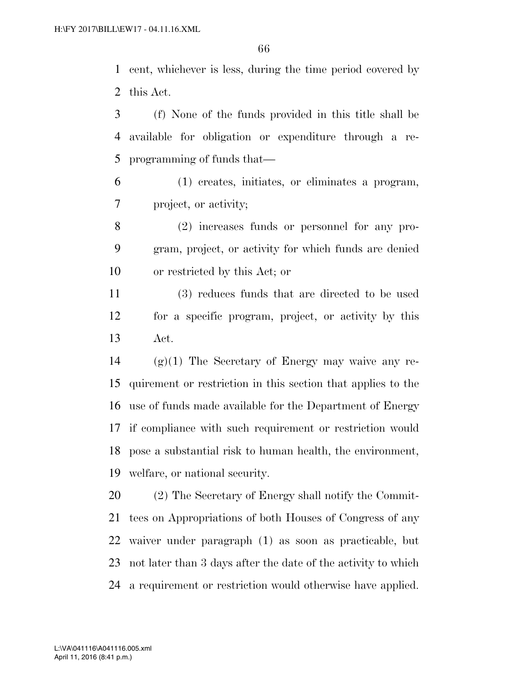cent, whichever is less, during the time period covered by this Act.

 (f) None of the funds provided in this title shall be available for obligation or expenditure through a re-programming of funds that—

 (1) creates, initiates, or eliminates a program, project, or activity;

 (2) increases funds or personnel for any pro- gram, project, or activity for which funds are denied or restricted by this Act; or

 (3) reduces funds that are directed to be used for a specific program, project, or activity by this Act.

 (g)(1) The Secretary of Energy may waive any re- quirement or restriction in this section that applies to the use of funds made available for the Department of Energy if compliance with such requirement or restriction would pose a substantial risk to human health, the environment, welfare, or national security.

 (2) The Secretary of Energy shall notify the Commit- tees on Appropriations of both Houses of Congress of any waiver under paragraph (1) as soon as practicable, but not later than 3 days after the date of the activity to which a requirement or restriction would otherwise have applied.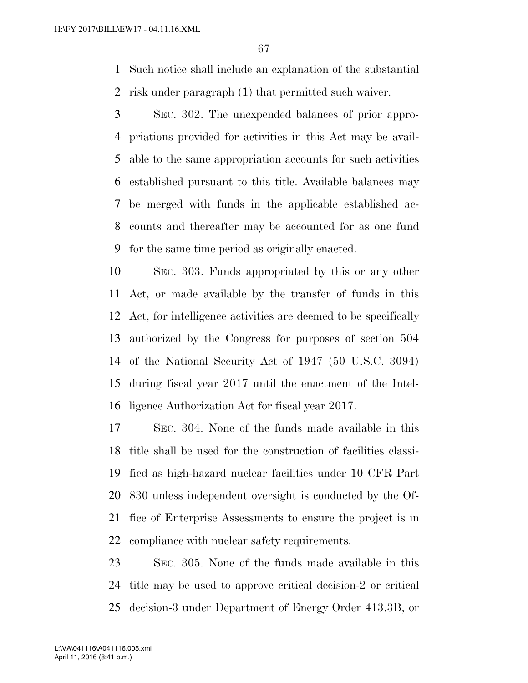Such notice shall include an explanation of the substantial risk under paragraph (1) that permitted such waiver.

 SEC. 302. The unexpended balances of prior appro- priations provided for activities in this Act may be avail- able to the same appropriation accounts for such activities established pursuant to this title. Available balances may be merged with funds in the applicable established ac- counts and thereafter may be accounted for as one fund for the same time period as originally enacted.

 SEC. 303. Funds appropriated by this or any other Act, or made available by the transfer of funds in this Act, for intelligence activities are deemed to be specifically authorized by the Congress for purposes of section 504 of the National Security Act of 1947 (50 U.S.C. 3094) during fiscal year 2017 until the enactment of the Intel-ligence Authorization Act for fiscal year 2017.

 SEC. 304. None of the funds made available in this title shall be used for the construction of facilities classi- fied as high-hazard nuclear facilities under 10 CFR Part 830 unless independent oversight is conducted by the Of- fice of Enterprise Assessments to ensure the project is in compliance with nuclear safety requirements.

 SEC. 305. None of the funds made available in this title may be used to approve critical decision-2 or critical decision-3 under Department of Energy Order 413.3B, or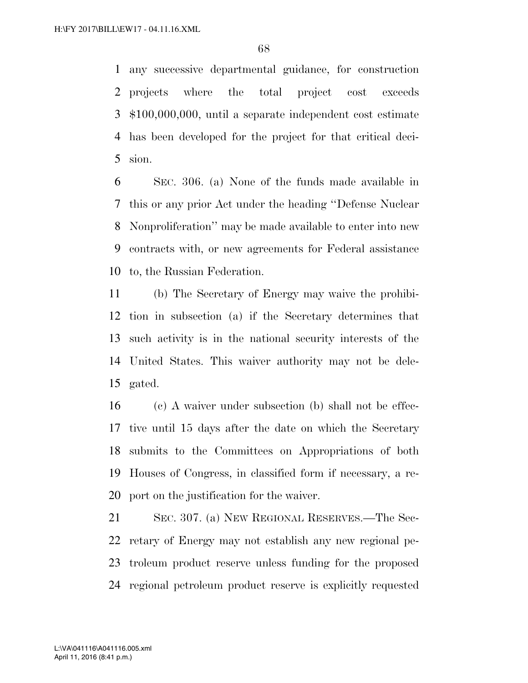any successive departmental guidance, for construction projects where the total project cost exceeds \$100,000,000, until a separate independent cost estimate has been developed for the project for that critical deci-sion.

 SEC. 306. (a) None of the funds made available in this or any prior Act under the heading ''Defense Nuclear Nonproliferation'' may be made available to enter into new contracts with, or new agreements for Federal assistance to, the Russian Federation.

 (b) The Secretary of Energy may waive the prohibi- tion in subsection (a) if the Secretary determines that such activity is in the national security interests of the United States. This waiver authority may not be dele-gated.

 (c) A waiver under subsection (b) shall not be effec- tive until 15 days after the date on which the Secretary submits to the Committees on Appropriations of both Houses of Congress, in classified form if necessary, a re-port on the justification for the waiver.

 SEC. 307. (a) NEW REGIONAL RESERVES.—The Sec- retary of Energy may not establish any new regional pe- troleum product reserve unless funding for the proposed regional petroleum product reserve is explicitly requested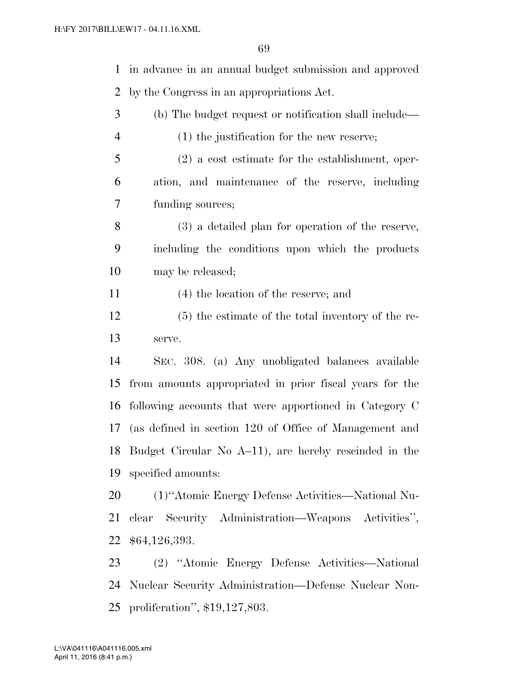in advance in an annual budget submission and approved by the Congress in an appropriations Act. (b) The budget request or notification shall include—

- (1) the justification for the new reserve;
- (2) a cost estimate for the establishment, oper- ation, and maintenance of the reserve, including funding sources;

 (3) a detailed plan for operation of the reserve, including the conditions upon which the products may be released;

(4) the location of the reserve; and

 (5) the estimate of the total inventory of the re-serve.

 SEC. 308. (a) Any unobligated balances available from amounts appropriated in prior fiscal years for the following accounts that were apportioned in Category C (as defined in section 120 of Office of Management and Budget Circular No A–11), are hereby rescinded in the specified amounts:

 (1)''Atomic Energy Defense Activities—National Nu- clear Security Administration—Weapons Activities'', \$64,126,393.

 (2) ''Atomic Energy Defense Activities—National Nuclear Security Administration—Defense Nuclear Non-proliferation'', \$19,127,803.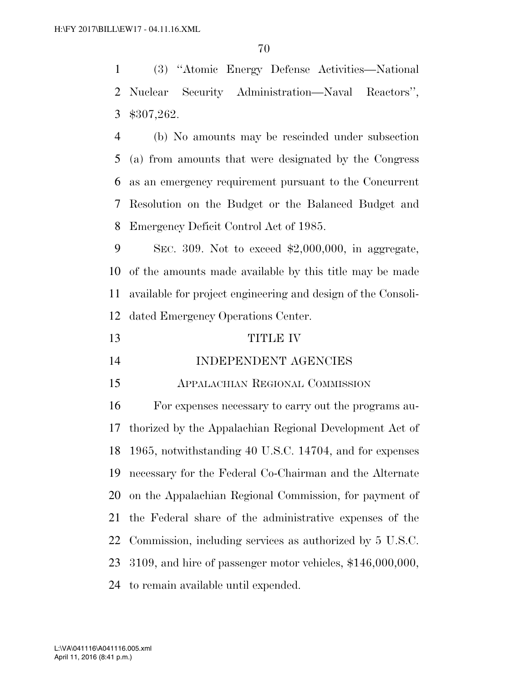(3) ''Atomic Energy Defense Activities—National Nuclear Security Administration—Naval Reactors'', \$307,262.

 (b) No amounts may be rescinded under subsection (a) from amounts that were designated by the Congress as an emergency requirement pursuant to the Concurrent Resolution on the Budget or the Balanced Budget and Emergency Deficit Control Act of 1985.

 SEC. 309. Not to exceed \$2,000,000, in aggregate, of the amounts made available by this title may be made available for project engineering and design of the Consoli-dated Emergency Operations Center.

### TITLE IV

- 14 INDEPENDENT AGENCIES
- APPALACHIAN REGIONAL COMMISSION

 For expenses necessary to carry out the programs au- thorized by the Appalachian Regional Development Act of 1965, notwithstanding 40 U.S.C. 14704, and for expenses necessary for the Federal Co-Chairman and the Alternate on the Appalachian Regional Commission, for payment of the Federal share of the administrative expenses of the Commission, including services as authorized by 5 U.S.C. 3109, and hire of passenger motor vehicles, \$146,000,000, to remain available until expended.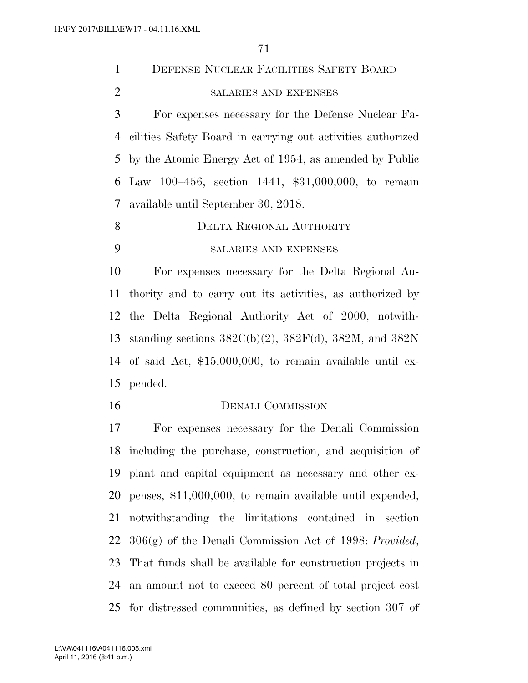|                | 4 L                                                              |
|----------------|------------------------------------------------------------------|
| $\mathbf{1}$   | DEFENSE NUCLEAR FACILITIES SAFETY BOARD                          |
| $\overline{2}$ | SALARIES AND EXPENSES                                            |
| 3              | For expenses necessary for the Defense Nuclear Fa-               |
| 4              | cilities Safety Board in carrying out activities authorized      |
| 5              | by the Atomic Energy Act of 1954, as amended by Public           |
| 6              | Law 100-456, section 1441, $$31,000,000$ , to remain             |
| 7              | available until September 30, 2018.                              |
| 8              | DELTA REGIONAL AUTHORITY                                         |
| 9              | SALARIES AND EXPENSES                                            |
| 10             | For expenses necessary for the Delta Regional Au-                |
| 11             | thority and to carry out its activities, as authorized by        |
|                | 12 the Delta Regional Authority Act of 2000, notwith-            |
| 13             | standing sections $382C(b)(2)$ , $382F(d)$ , $382M$ , and $382N$ |
| 14             | of said Act, $$15,000,000$ , to remain available until ex-       |
| 15             | pended.                                                          |
| 16             | <b>DENALI COMMISSION</b>                                         |
| 17             | For expenses necessary for the Denali Commission                 |
|                | 18 including the purchase, construction, and acquisition of      |
| 19             | plant and capital equipment as necessary and other ex-           |
| 20             | penses, \$11,000,000, to remain available until expended,        |
| 21             | notwithstanding the limitations contained in section             |

306(g) of the Denali Commission Act of 1998: *Provided*,

That funds shall be available for construction projects in

an amount not to exceed 80 percent of total project cost

for distressed communities, as defined by section 307 of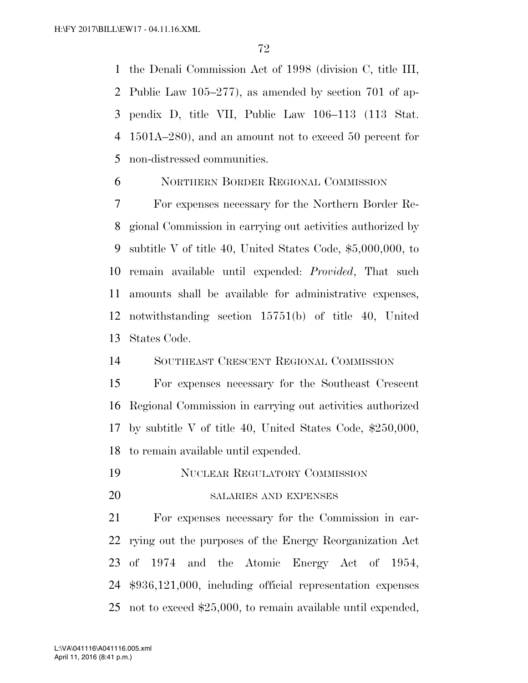the Denali Commission Act of 1998 (division C, title III, Public Law 105–277), as amended by section 701 of ap- pendix D, title VII, Public Law 106–113 (113 Stat. 1501A–280), and an amount not to exceed 50 percent for non-distressed communities.

NORTHERN BORDER REGIONAL COMMISSION

 For expenses necessary for the Northern Border Re- gional Commission in carrying out activities authorized by subtitle V of title 40, United States Code, \$5,000,000, to remain available until expended: *Provided*, That such amounts shall be available for administrative expenses, notwithstanding section 15751(b) of title 40, United States Code.

SOUTHEAST CRESCENT REGIONAL COMMISSION

 For expenses necessary for the Southeast Crescent Regional Commission in carrying out activities authorized by subtitle V of title 40, United States Code, \$250,000, to remain available until expended.

NUCLEAR REGULATORY COMMISSION

#### SALARIES AND EXPENSES

 For expenses necessary for the Commission in car- rying out the purposes of the Energy Reorganization Act of 1974 and the Atomic Energy Act of 1954, \$936,121,000, including official representation expenses not to exceed \$25,000, to remain available until expended,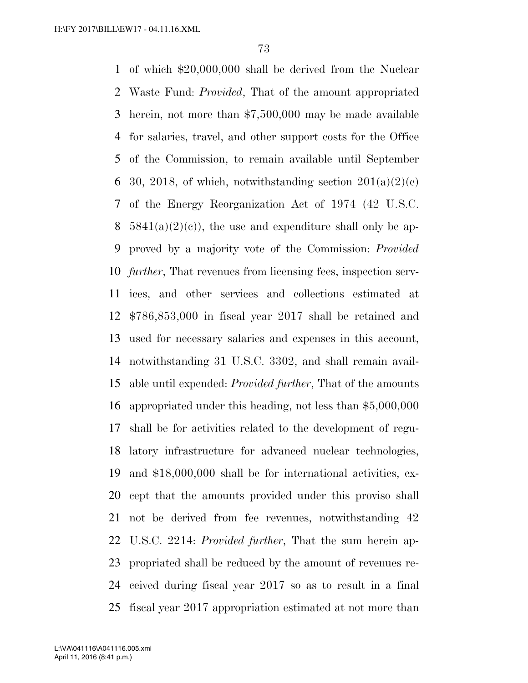of which \$20,000,000 shall be derived from the Nuclear Waste Fund: *Provided*, That of the amount appropriated herein, not more than \$7,500,000 may be made available for salaries, travel, and other support costs for the Office of the Commission, to remain available until September 6 30, 2018, of which, notwithstanding section  $201(a)(2)(c)$  of the Energy Reorganization Act of 1974 (42 U.S.C. 8 5841(a)(2)(c)), the use and expenditure shall only be ap- proved by a majority vote of the Commission: *Provided further*, That revenues from licensing fees, inspection serv- ices, and other services and collections estimated at \$786,853,000 in fiscal year 2017 shall be retained and used for necessary salaries and expenses in this account, notwithstanding 31 U.S.C. 3302, and shall remain avail- able until expended: *Provided further*, That of the amounts appropriated under this heading, not less than \$5,000,000 shall be for activities related to the development of regu- latory infrastructure for advanced nuclear technologies, and \$18,000,000 shall be for international activities, ex- cept that the amounts provided under this proviso shall not be derived from fee revenues, notwithstanding 42 U.S.C. 2214: *Provided further*, That the sum herein ap- propriated shall be reduced by the amount of revenues re- ceived during fiscal year 2017 so as to result in a final fiscal year 2017 appropriation estimated at not more than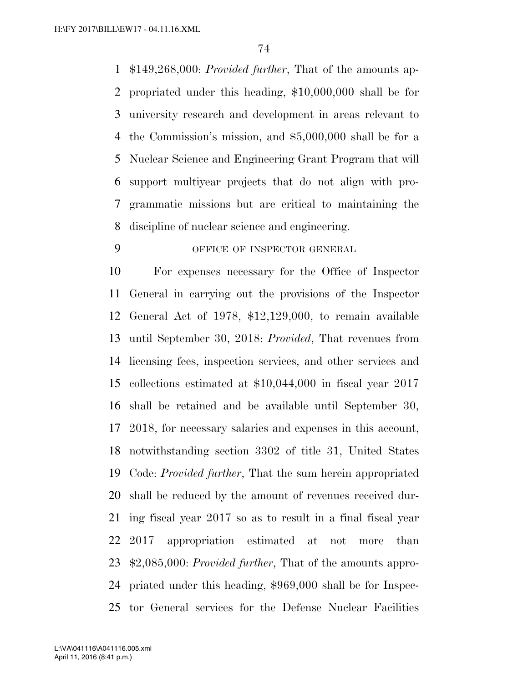\$149,268,000: *Provided further*, That of the amounts ap- propriated under this heading, \$10,000,000 shall be for university research and development in areas relevant to the Commission's mission, and \$5,000,000 shall be for a Nuclear Science and Engineering Grant Program that will support multiyear projects that do not align with pro- grammatic missions but are critical to maintaining the discipline of nuclear science and engineering.

## OFFICE OF INSPECTOR GENERAL

 For expenses necessary for the Office of Inspector General in carrying out the provisions of the Inspector General Act of 1978, \$12,129,000, to remain available until September 30, 2018: *Provided*, That revenues from licensing fees, inspection services, and other services and collections estimated at \$10,044,000 in fiscal year 2017 shall be retained and be available until September 30, 2018, for necessary salaries and expenses in this account, notwithstanding section 3302 of title 31, United States Code: *Provided further*, That the sum herein appropriated shall be reduced by the amount of revenues received dur- ing fiscal year 2017 so as to result in a final fiscal year 2017 appropriation estimated at not more than \$2,085,000: *Provided further*, That of the amounts appro- priated under this heading, \$969,000 shall be for Inspec-tor General services for the Defense Nuclear Facilities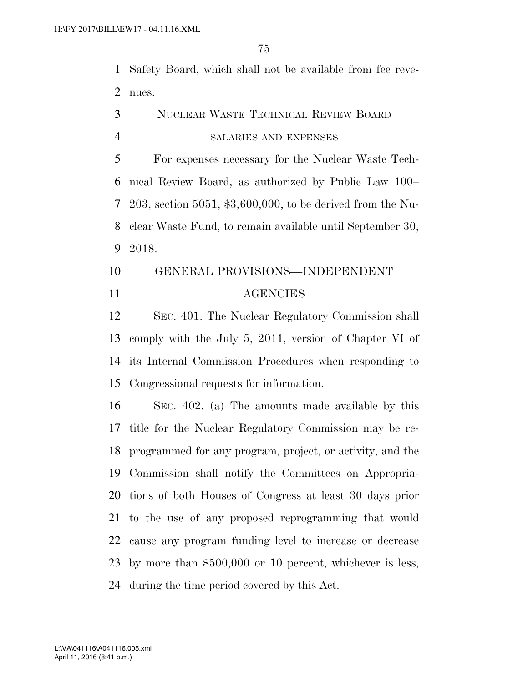Safety Board, which shall not be available from fee reve-nues.

- NUCLEAR WASTE TECHNICAL REVIEW BOARD
- SALARIES AND EXPENSES

 For expenses necessary for the Nuclear Waste Tech- nical Review Board, as authorized by Public Law 100– 203, section 5051, \$3,600,000, to be derived from the Nu- clear Waste Fund, to remain available until September 30, 2018.

## GENERAL PROVISIONS—INDEPENDENT AGENCIES

 SEC. 401. The Nuclear Regulatory Commission shall comply with the July 5, 2011, version of Chapter VI of its Internal Commission Procedures when responding to Congressional requests for information.

 SEC. 402. (a) The amounts made available by this title for the Nuclear Regulatory Commission may be re- programmed for any program, project, or activity, and the Commission shall notify the Committees on Appropria- tions of both Houses of Congress at least 30 days prior to the use of any proposed reprogramming that would cause any program funding level to increase or decrease by more than \$500,000 or 10 percent, whichever is less, during the time period covered by this Act.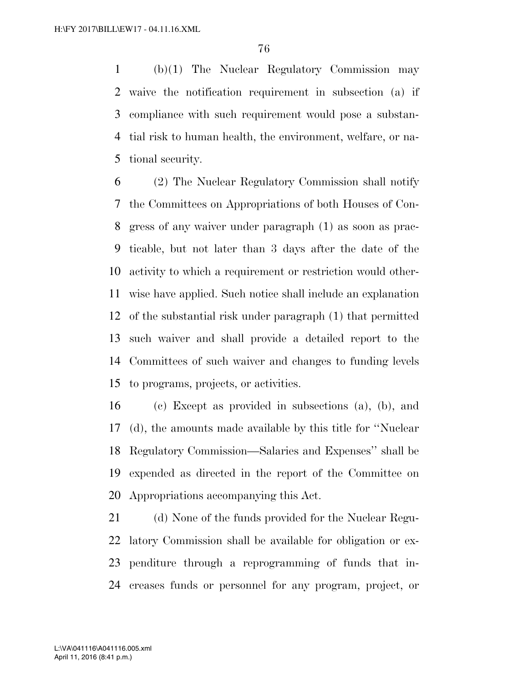(b)(1) The Nuclear Regulatory Commission may waive the notification requirement in subsection (a) if compliance with such requirement would pose a substan- tial risk to human health, the environment, welfare, or na-tional security.

 (2) The Nuclear Regulatory Commission shall notify the Committees on Appropriations of both Houses of Con- gress of any waiver under paragraph (1) as soon as prac- ticable, but not later than 3 days after the date of the activity to which a requirement or restriction would other- wise have applied. Such notice shall include an explanation of the substantial risk under paragraph (1) that permitted such waiver and shall provide a detailed report to the Committees of such waiver and changes to funding levels to programs, projects, or activities.

 (c) Except as provided in subsections (a), (b), and (d), the amounts made available by this title for ''Nuclear Regulatory Commission—Salaries and Expenses'' shall be expended as directed in the report of the Committee on Appropriations accompanying this Act.

 (d) None of the funds provided for the Nuclear Regu- latory Commission shall be available for obligation or ex- penditure through a reprogramming of funds that in-creases funds or personnel for any program, project, or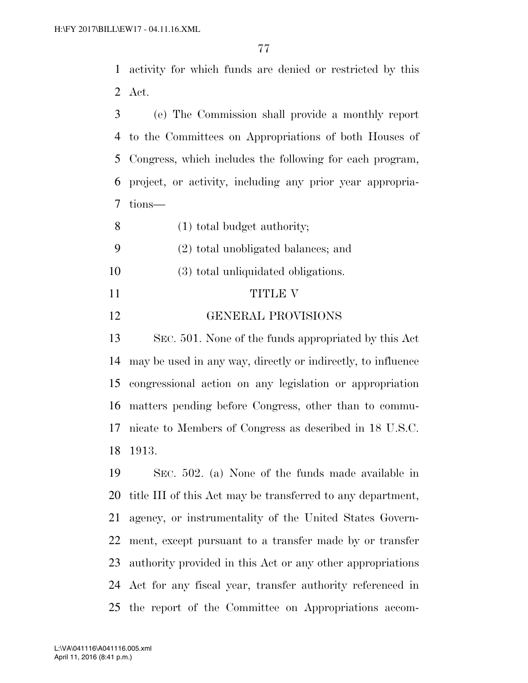activity for which funds are denied or restricted by this Act.

 (e) The Commission shall provide a monthly report to the Committees on Appropriations of both Houses of Congress, which includes the following for each program, project, or activity, including any prior year appropria-tions—

(1) total budget authority;

- (2) total unobligated balances; and
- (3) total unliquidated obligations.
- 

## 11 TITLE V

GENERAL PROVISIONS

 SEC. 501. None of the funds appropriated by this Act may be used in any way, directly or indirectly, to influence congressional action on any legislation or appropriation matters pending before Congress, other than to commu- nicate to Members of Congress as described in 18 U.S.C. 1913.

 SEC. 502. (a) None of the funds made available in title III of this Act may be transferred to any department, agency, or instrumentality of the United States Govern- ment, except pursuant to a transfer made by or transfer authority provided in this Act or any other appropriations Act for any fiscal year, transfer authority referenced in the report of the Committee on Appropriations accom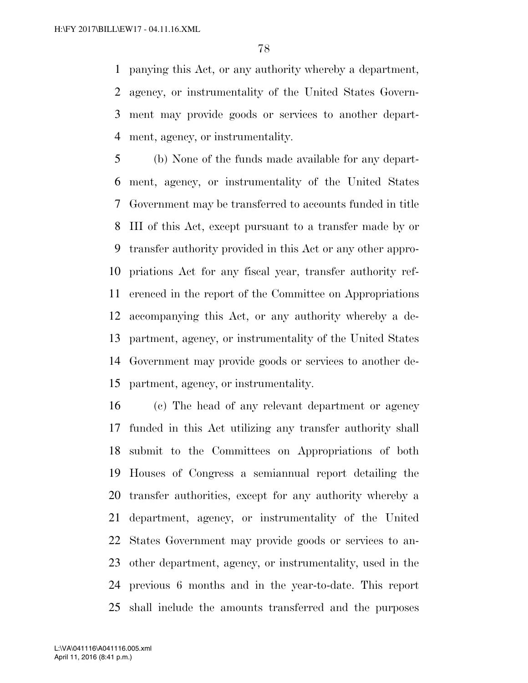panying this Act, or any authority whereby a department, agency, or instrumentality of the United States Govern- ment may provide goods or services to another depart-ment, agency, or instrumentality.

 (b) None of the funds made available for any depart- ment, agency, or instrumentality of the United States Government may be transferred to accounts funded in title III of this Act, except pursuant to a transfer made by or transfer authority provided in this Act or any other appro- priations Act for any fiscal year, transfer authority ref- erenced in the report of the Committee on Appropriations accompanying this Act, or any authority whereby a de- partment, agency, or instrumentality of the United States Government may provide goods or services to another de-partment, agency, or instrumentality.

 (c) The head of any relevant department or agency funded in this Act utilizing any transfer authority shall submit to the Committees on Appropriations of both Houses of Congress a semiannual report detailing the transfer authorities, except for any authority whereby a department, agency, or instrumentality of the United States Government may provide goods or services to an- other department, agency, or instrumentality, used in the previous 6 months and in the year-to-date. This report shall include the amounts transferred and the purposes

April 11, 2016 (8:41 p.m.) L:\VA\041116\A041116.005.xml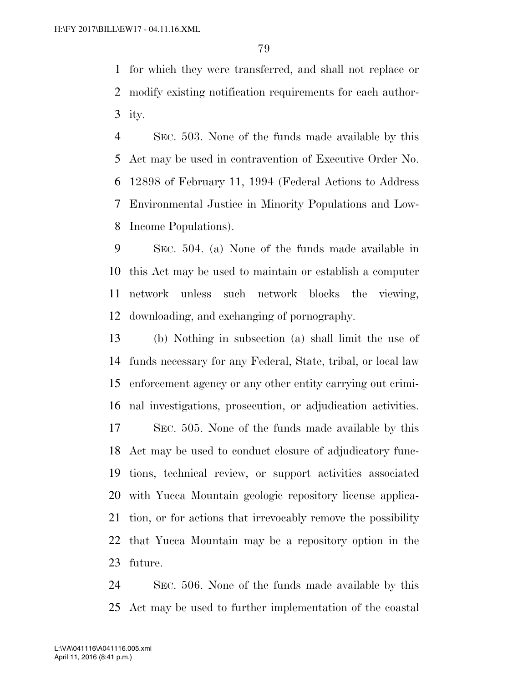for which they were transferred, and shall not replace or modify existing notification requirements for each author-ity.

 SEC. 503. None of the funds made available by this Act may be used in contravention of Executive Order No. 12898 of February 11, 1994 (Federal Actions to Address Environmental Justice in Minority Populations and Low-Income Populations).

 SEC. 504. (a) None of the funds made available in this Act may be used to maintain or establish a computer network unless such network blocks the viewing, downloading, and exchanging of pornography.

 (b) Nothing in subsection (a) shall limit the use of funds necessary for any Federal, State, tribal, or local law enforcement agency or any other entity carrying out crimi- nal investigations, prosecution, or adjudication activities. SEC. 505. None of the funds made available by this Act may be used to conduct closure of adjudicatory func- tions, technical review, or support activities associated with Yucca Mountain geologic repository license applica- tion, or for actions that irrevocably remove the possibility that Yucca Mountain may be a repository option in the future.

 SEC. 506. None of the funds made available by this Act may be used to further implementation of the coastal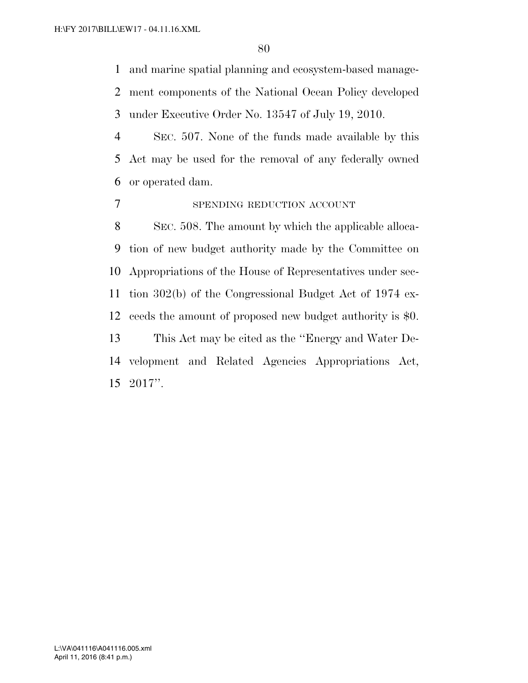and marine spatial planning and ecosystem-based manage- ment components of the National Ocean Policy developed under Executive Order No. 13547 of July 19, 2010.

 SEC. 507. None of the funds made available by this Act may be used for the removal of any federally owned or operated dam.

SPENDING REDUCTION ACCOUNT

 SEC. 508. The amount by which the applicable alloca- tion of new budget authority made by the Committee on Appropriations of the House of Representatives under sec- tion 302(b) of the Congressional Budget Act of 1974 ex- ceeds the amount of proposed new budget authority is \$0. This Act may be cited as the ''Energy and Water De- velopment and Related Agencies Appropriations Act, 2017''.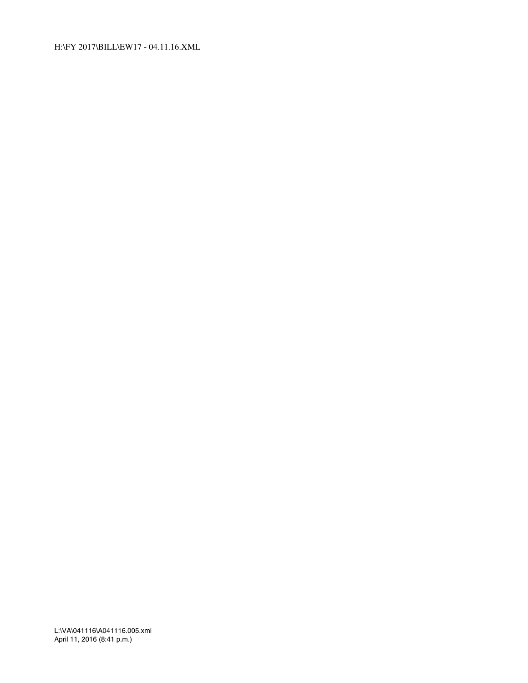H:\FY 2017\BILL\EW17 - 04.11.16.XML

April 11, 2016 (8:41 p.m.) L:\VA\041116\A041116.005.xml